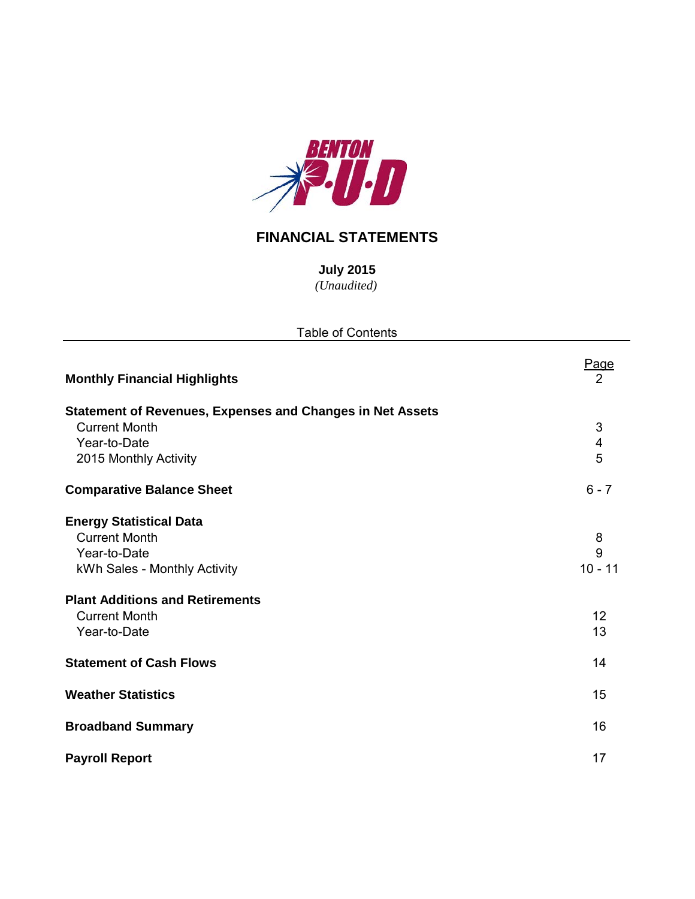

# **FINANCIAL STATEMENTS**

*(Unaudited)* **July 2015**

| <b>Table of Contents</b>                                         |                         |  |  |  |  |  |  |  |
|------------------------------------------------------------------|-------------------------|--|--|--|--|--|--|--|
| <b>Monthly Financial Highlights</b>                              | <u>Page</u><br>2        |  |  |  |  |  |  |  |
| <b>Statement of Revenues, Expenses and Changes in Net Assets</b> |                         |  |  |  |  |  |  |  |
| <b>Current Month</b>                                             | 3                       |  |  |  |  |  |  |  |
| Year-to-Date                                                     | $\overline{\mathbf{4}}$ |  |  |  |  |  |  |  |
| 2015 Monthly Activity                                            | 5                       |  |  |  |  |  |  |  |
| <b>Comparative Balance Sheet</b>                                 | $6 - 7$                 |  |  |  |  |  |  |  |
| <b>Energy Statistical Data</b>                                   |                         |  |  |  |  |  |  |  |
| <b>Current Month</b>                                             | 8                       |  |  |  |  |  |  |  |
| Year-to-Date                                                     | 9                       |  |  |  |  |  |  |  |
| kWh Sales - Monthly Activity                                     | $10 - 11$               |  |  |  |  |  |  |  |
| <b>Plant Additions and Retirements</b>                           |                         |  |  |  |  |  |  |  |
| <b>Current Month</b>                                             | 12                      |  |  |  |  |  |  |  |
| Year-to-Date                                                     | 13                      |  |  |  |  |  |  |  |
| <b>Statement of Cash Flows</b>                                   | 14                      |  |  |  |  |  |  |  |
| <b>Weather Statistics</b>                                        | 15                      |  |  |  |  |  |  |  |
| <b>Broadband Summary</b>                                         | 16                      |  |  |  |  |  |  |  |
| <b>Payroll Report</b>                                            | 17                      |  |  |  |  |  |  |  |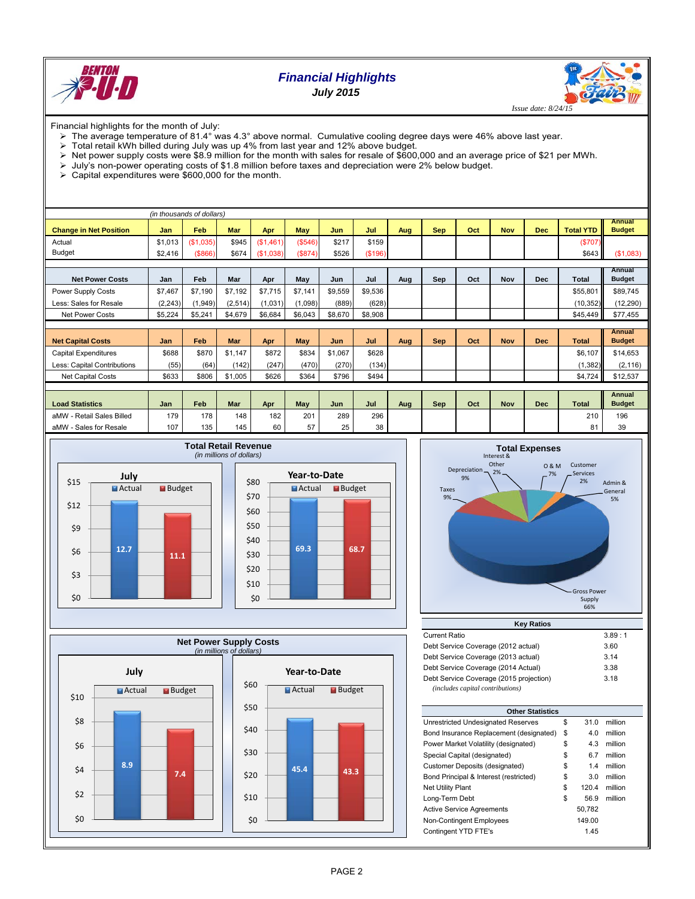

# *Financial Highlights July 2015*



Financial highlights for the month of July:

- The average temperature of 81.4° was 4.3° above normal. Cumulative cooling degree days were 46% above last year.
- $\triangleright$  Total retail kWh billed during July was up 4% from last year and 12% above budget.
- Net power supply costs were \$8.9 million for the month with sales for resale of \$600,000 and an average price of \$21 per MWh.
- > July's non-power operating costs of \$1.8 million before taxes and depreciation were 2% below budget.
- Capital expenditures were  $$600,000$  for the month.

|                               |          | (in thousands of dollars) |            |           |            |         |         |     |            |     |            |            |                  |                                |
|-------------------------------|----------|---------------------------|------------|-----------|------------|---------|---------|-----|------------|-----|------------|------------|------------------|--------------------------------|
| <b>Change in Net Position</b> | Jan      | Feb                       | <b>Mar</b> | Apr       | May        | Jun     | Jul     | Aug | <b>Sep</b> | Oct | <b>Nov</b> | <b>Dec</b> | <b>Total YTD</b> | <b>Annual</b><br><b>Budget</b> |
| Actual                        | \$1,013  | (\$1,035)                 | \$945      | (\$1,461) | (\$546)    | \$217   | \$159   |     |            |     |            |            | (S707)           |                                |
| <b>Budget</b>                 | \$2,416  | ( \$866)                  | \$674      | (\$1,038) | (\$874)    | \$526   | (\$196) |     |            |     |            |            | \$643            | (\$1,083)                      |
|                               |          |                           |            |           |            |         |         |     |            |     |            |            |                  |                                |
| <b>Net Power Costs</b>        | Jan      | Feb                       | Mar        | Apr       | May        | Jun     | Jul     | Aug | Sep        | Oct | Nov        | <b>Dec</b> | Total            | Annual<br><b>Budget</b>        |
| Power Supply Costs            | \$7,467  | \$7.190                   | \$7,192    | \$7,715   | \$7,141    | \$9,559 | \$9,536 |     |            |     |            |            | \$55,801         | \$89,745                       |
| Less: Sales for Resale        | (2, 243) | (1,949)                   | (2, 514)   | (1,031)   | (1,098)    | (889)   | (628)   |     |            |     |            |            | (10, 352)        | (12, 290)                      |
| <b>Net Power Costs</b>        | \$5,224  | \$5,241                   | \$4,679    | \$6,684   | \$6,043    | \$8,670 | \$8,908 |     |            |     |            |            | \$45,449         | \$77,455                       |
|                               |          |                           |            |           |            |         |         |     |            |     |            |            |                  |                                |
| <b>Net Capital Costs</b>      | Jan      | Feb                       | <b>Mar</b> | Apr       | <b>May</b> | Jun     | Jul     | Aug | <b>Sep</b> | Oct | <b>Nov</b> | <b>Dec</b> | <b>Total</b>     | <b>Annual</b><br><b>Budget</b> |
| <b>Capital Expenditures</b>   | \$688    | \$870                     | \$1,147    | \$872     | \$834      | \$1,067 | \$628   |     |            |     |            |            | \$6,107          | \$14,653                       |
| Less: Capital Contributions   | (55)     | (64)                      | (142)      | (247)     | (470)      | (270)   | (134)   |     |            |     |            |            | (1, 382)         | (2, 116)                       |
| <b>Net Capital Costs</b>      | \$633    | \$806                     | \$1,005    | \$626     | \$364      | \$796   | \$494   |     |            |     |            |            | \$4,724          | \$12,537                       |
|                               |          |                           |            |           |            |         |         |     |            |     |            |            |                  |                                |
| <b>Load Statistics</b>        | Jan      | Feb                       | Mar        | Apr       | May        | Jun     | Jul     | Aug | <b>Sep</b> | Oct | <b>Nov</b> | <b>Dec</b> | Total            | <b>Annual</b><br><b>Budget</b> |
| aMW - Retail Sales Billed     | 179      | 178                       | 148        | 182       | 201        | 289     | 296     |     |            |     |            |            | 210              | 196                            |
| aMW - Sales for Resale        | 107      | 135                       | 145        | 60        | 57         | 25      | 38      |     |            |     |            |            | 81               | 39                             |









| <b>Key Ratios</b>                       |        |  |  |  |  |  |  |  |  |  |
|-----------------------------------------|--------|--|--|--|--|--|--|--|--|--|
| <b>Current Ratio</b>                    | 3.89:1 |  |  |  |  |  |  |  |  |  |
| Debt Service Coverage (2012 actual)     | 3.60   |  |  |  |  |  |  |  |  |  |
| Debt Service Coverage (2013 actual)     | 3.14   |  |  |  |  |  |  |  |  |  |
| Debt Service Coverage (2014 Actual)     | 3.38   |  |  |  |  |  |  |  |  |  |
| Debt Service Coverage (2015 projection) | 3.18   |  |  |  |  |  |  |  |  |  |
| (includes capital contributions)        |        |  |  |  |  |  |  |  |  |  |

| <b>Other Statistics</b>                 |    |        |         |  |  |  |  |  |  |  |
|-----------------------------------------|----|--------|---------|--|--|--|--|--|--|--|
| Unrestricted Undesignated Reserves      | \$ | 31.0   | million |  |  |  |  |  |  |  |
| Bond Insurance Replacement (designated) | \$ | 4.0    | million |  |  |  |  |  |  |  |
| Power Market Volatility (designated)    | \$ | 4.3    | million |  |  |  |  |  |  |  |
| Special Capital (designated)            | \$ | 6.7    | million |  |  |  |  |  |  |  |
| Customer Deposits (designated)          | \$ | 1.4    | million |  |  |  |  |  |  |  |
| Bond Principal & Interest (restricted)  | \$ | 3.0    | million |  |  |  |  |  |  |  |
| <b>Net Utility Plant</b>                | \$ | 120.4  | million |  |  |  |  |  |  |  |
| Long-Term Debt                          | \$ | 56.9   | million |  |  |  |  |  |  |  |
| <b>Active Service Agreements</b>        |    | 50.782 |         |  |  |  |  |  |  |  |
| Non-Contingent Employees                |    | 149.00 |         |  |  |  |  |  |  |  |
| Contingent YTD FTE's                    |    | 1.45   |         |  |  |  |  |  |  |  |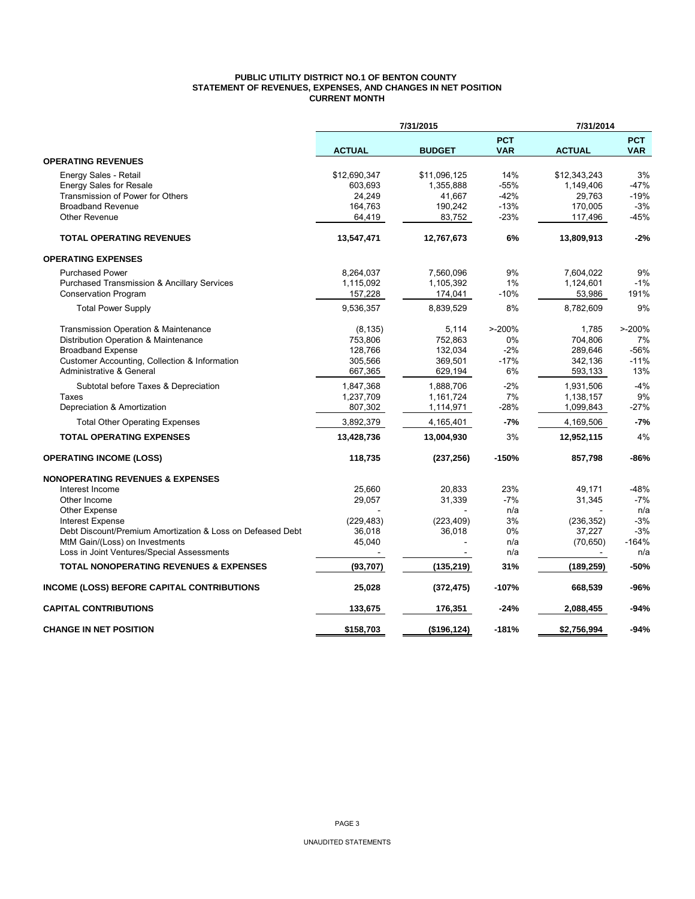#### **PUBLIC UTILITY DISTRICT NO.1 OF BENTON COUNTY STATEMENT OF REVENUES, EXPENSES, AND CHANGES IN NET POSITION CURRENT MONTH**

|                                                            | 7/31/2015     |               |                          | 7/31/2014     |                          |  |
|------------------------------------------------------------|---------------|---------------|--------------------------|---------------|--------------------------|--|
|                                                            | <b>ACTUAL</b> | <b>BUDGET</b> | <b>PCT</b><br><b>VAR</b> | <b>ACTUAL</b> | <b>PCT</b><br><b>VAR</b> |  |
| <b>OPERATING REVENUES</b>                                  |               |               |                          |               |                          |  |
| Energy Sales - Retail                                      | \$12,690,347  | \$11,096,125  | 14%                      | \$12,343,243  | 3%                       |  |
| <b>Energy Sales for Resale</b>                             | 603,693       | 1,355,888     | $-55%$                   | 1,149,406     | $-47%$                   |  |
| Transmission of Power for Others                           | 24,249        | 41,667        | $-42%$                   | 29,763        | $-19%$                   |  |
| <b>Broadband Revenue</b>                                   | 164,763       | 190,242       | $-13%$                   | 170.005       | $-3%$                    |  |
| Other Revenue                                              | 64,419        | 83,752        | $-23%$                   | 117,496       | $-45%$                   |  |
| <b>TOTAL OPERATING REVENUES</b>                            | 13,547,471    | 12,767,673    | 6%                       | 13,809,913    | $-2%$                    |  |
| <b>OPERATING EXPENSES</b>                                  |               |               |                          |               |                          |  |
| <b>Purchased Power</b>                                     | 8,264,037     | 7,560,096     | 9%                       | 7,604,022     | 9%                       |  |
| <b>Purchased Transmission &amp; Ancillary Services</b>     | 1,115,092     | 1,105,392     | 1%                       | 1,124,601     | $-1%$                    |  |
| <b>Conservation Program</b>                                | 157,228       | 174,041       | $-10%$                   | 53,986        | 191%                     |  |
| <b>Total Power Supply</b>                                  | 9,536,357     | 8,839,529     | 8%                       | 8,782,609     | 9%                       |  |
| <b>Transmission Operation &amp; Maintenance</b>            | (8, 135)      | 5,114         | $> -200%$                | 1.785         | $> -200%$                |  |
| Distribution Operation & Maintenance                       | 753.806       | 752,863       | 0%                       | 704,806       | 7%                       |  |
| <b>Broadband Expense</b>                                   | 128,766       | 132,034       | $-2%$                    | 289,646       | $-56%$                   |  |
| Customer Accounting, Collection & Information              | 305,566       | 369,501       | $-17%$                   | 342,136       | $-11%$                   |  |
| Administrative & General                                   | 667,365       | 629,194       | 6%                       | 593,133       | 13%                      |  |
| Subtotal before Taxes & Depreciation                       | 1,847,368     | 1,888,706     | $-2%$                    | 1,931,506     | $-4%$                    |  |
| Taxes                                                      | 1,237,709     | 1,161,724     | 7%                       | 1,138,157     | 9%                       |  |
| Depreciation & Amortization                                | 807,302       | 1,114,971     | $-28%$                   | 1,099,843     | $-27%$                   |  |
| <b>Total Other Operating Expenses</b>                      | 3,892,379     | 4,165,401     | $-7%$                    | 4,169,506     | $-7%$                    |  |
| <b>TOTAL OPERATING EXPENSES</b>                            | 13,428,736    | 13,004,930    | 3%                       | 12,952,115    | 4%                       |  |
| <b>OPERATING INCOME (LOSS)</b>                             | 118,735       | (237, 256)    | $-150%$                  | 857,798       | -86%                     |  |
| <b>NONOPERATING REVENUES &amp; EXPENSES</b>                |               |               |                          |               |                          |  |
| Interest Income                                            | 25,660        | 20,833        | 23%                      | 49,171        | $-48%$                   |  |
| Other Income                                               | 29,057        | 31,339        | $-7%$                    | 31,345        | $-7%$                    |  |
| Other Expense                                              |               |               | n/a                      |               | n/a                      |  |
| <b>Interest Expense</b>                                    | (229, 483)    | (223, 409)    | 3%                       | (236, 352)    | $-3%$                    |  |
| Debt Discount/Premium Amortization & Loss on Defeased Debt | 36,018        | 36,018        | 0%                       | 37,227        | $-3%$                    |  |
| MtM Gain/(Loss) on Investments                             | 45,040        |               | n/a                      | (70, 650)     | $-164%$                  |  |
| Loss in Joint Ventures/Special Assessments                 |               |               | n/a                      |               | n/a                      |  |
| <b>TOTAL NONOPERATING REVENUES &amp; EXPENSES</b>          | (93, 707)     | (135, 219)    | 31%                      | (189, 259)    | -50%                     |  |
| INCOME (LOSS) BEFORE CAPITAL CONTRIBUTIONS                 | 25,028        | (372, 475)    | $-107%$                  | 668,539       | -96%                     |  |
| <b>CAPITAL CONTRIBUTIONS</b>                               | 133,675       | 176,351       | -24%                     | 2,088,455     | -94%                     |  |
| <b>CHANGE IN NET POSITION</b>                              | \$158.703     | (\$196, 124)  | $-181%$                  | \$2,756,994   | $-94%$                   |  |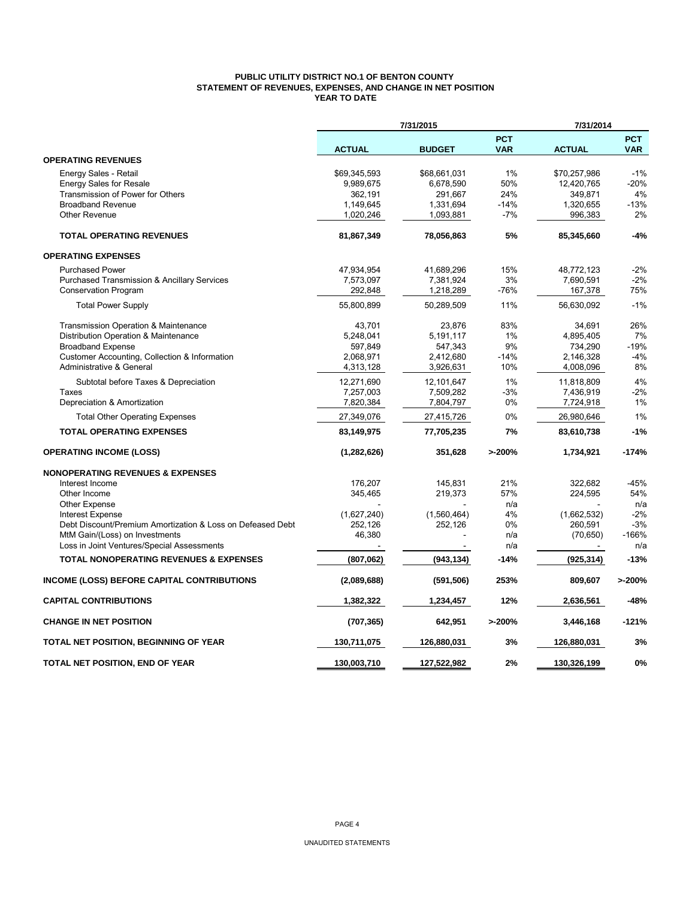### **PUBLIC UTILITY DISTRICT NO.1 OF BENTON COUNTY STATEMENT OF REVENUES, EXPENSES, AND CHANGE IN NET POSITION YEAR TO DATE**

|                                                            |               | 7/31/2015     |                          | 7/31/2014     |                          |
|------------------------------------------------------------|---------------|---------------|--------------------------|---------------|--------------------------|
|                                                            | <b>ACTUAL</b> | <b>BUDGET</b> | <b>PCT</b><br><b>VAR</b> | <b>ACTUAL</b> | <b>PCT</b><br><b>VAR</b> |
| <b>OPERATING REVENUES</b>                                  |               |               |                          |               |                          |
| Energy Sales - Retail                                      | \$69,345,593  | \$68,661,031  | 1%                       | \$70,257,986  | $-1%$                    |
| <b>Energy Sales for Resale</b>                             | 9,989,675     | 6,678,590     | 50%                      | 12,420,765    | $-20%$                   |
| Transmission of Power for Others                           | 362,191       | 291,667       | 24%                      | 349,871       | 4%                       |
| <b>Broadband Revenue</b>                                   | 1,149,645     | 1,331,694     | $-14%$                   | 1,320,655     | $-13%$                   |
| <b>Other Revenue</b>                                       | 1,020,246     | 1,093,881     | $-7%$                    | 996,383       | 2%                       |
| <b>TOTAL OPERATING REVENUES</b>                            | 81,867,349    | 78,056,863    | 5%                       | 85,345,660    | -4%                      |
| <b>OPERATING EXPENSES</b>                                  |               |               |                          |               |                          |
| <b>Purchased Power</b>                                     | 47,934,954    | 41,689,296    | 15%                      | 48,772,123    | $-2%$                    |
| Purchased Transmission & Ancillary Services                | 7,573,097     | 7,381,924     | 3%                       | 7,690,591     | $-2%$                    |
| <b>Conservation Program</b>                                | 292,848       | 1,218,289     | -76%                     | 167,378       | 75%                      |
| <b>Total Power Supply</b>                                  | 55,800,899    | 50,289,509    | 11%                      | 56,630,092    | $-1%$                    |
| Transmission Operation & Maintenance                       | 43.701        | 23.876        | 83%                      | 34.691        | 26%                      |
| Distribution Operation & Maintenance                       | 5,248,041     | 5,191,117     | 1%                       | 4,895,405     | 7%                       |
| <b>Broadband Expense</b>                                   | 597,849       | 547,343       | 9%                       | 734,290       | $-19%$                   |
| Customer Accounting, Collection & Information              | 2,068,971     | 2,412,680     | $-14%$                   | 2,146,328     | $-4%$                    |
| Administrative & General                                   | 4,313,128     | 3,926,631     | 10%                      | 4,008,096     | 8%                       |
| Subtotal before Taxes & Depreciation                       | 12,271,690    | 12,101,647    | 1%                       | 11,818,809    | $4\%$                    |
| Taxes                                                      | 7,257,003     | 7,509,282     | $-3%$                    | 7,436,919     | $-2%$                    |
| Depreciation & Amortization                                | 7,820,384     | 7,804,797     | 0%                       | 7,724,918     | 1%                       |
| <b>Total Other Operating Expenses</b>                      | 27,349,076    | 27,415,726    | 0%                       | 26,980,646    | 1%                       |
| <b>TOTAL OPERATING EXPENSES</b>                            | 83,149,975    | 77,705,235    | 7%                       | 83,610,738    | $-1%$                    |
| <b>OPERATING INCOME (LOSS)</b>                             | (1, 282, 626) | 351,628       | >200%                    | 1,734,921     | $-174%$                  |
| <b>NONOPERATING REVENUES &amp; EXPENSES</b>                |               |               |                          |               |                          |
| Interest Income                                            | 176,207       | 145,831       | 21%                      | 322,682       | $-45%$                   |
| Other Income                                               | 345,465       | 219,373       | 57%                      | 224,595       | 54%                      |
| <b>Other Expense</b>                                       |               |               | n/a                      |               | n/a                      |
| <b>Interest Expense</b>                                    | (1,627,240)   | (1,560,464)   | 4%                       | (1,662,532)   | $-2%$                    |
| Debt Discount/Premium Amortization & Loss on Defeased Debt | 252,126       | 252,126       | 0%                       | 260,591       | $-3%$                    |
| MtM Gain/(Loss) on Investments                             | 46,380        |               | n/a                      | (70, 650)     | $-166%$                  |
| Loss in Joint Ventures/Special Assessments                 |               |               | n/a                      |               | n/a                      |
| <b>TOTAL NONOPERATING REVENUES &amp; EXPENSES</b>          | (807,062)     | (943, 134)    | $-14%$                   | (925, 314)    | $-13%$                   |
| <b>INCOME (LOSS) BEFORE CAPITAL CONTRIBUTIONS</b>          | (2,089,688)   | (591, 506)    | 253%                     | 809,607       | >200%                    |
| <b>CAPITAL CONTRIBUTIONS</b>                               | 1,382,322     | 1,234,457     | 12%                      | 2,636,561     | -48%                     |
| <b>CHANGE IN NET POSITION</b>                              | (707, 365)    | 642,951       | >200%                    | 3,446,168     | $-121%$                  |
| TOTAL NET POSITION, BEGINNING OF YEAR                      | 130,711,075   | 126,880,031   | 3%                       | 126,880,031   | 3%                       |
| TOTAL NET POSITION, END OF YEAR                            | 130.003.710   | 127.522.982   | 2%                       | 130,326,199   | 0%                       |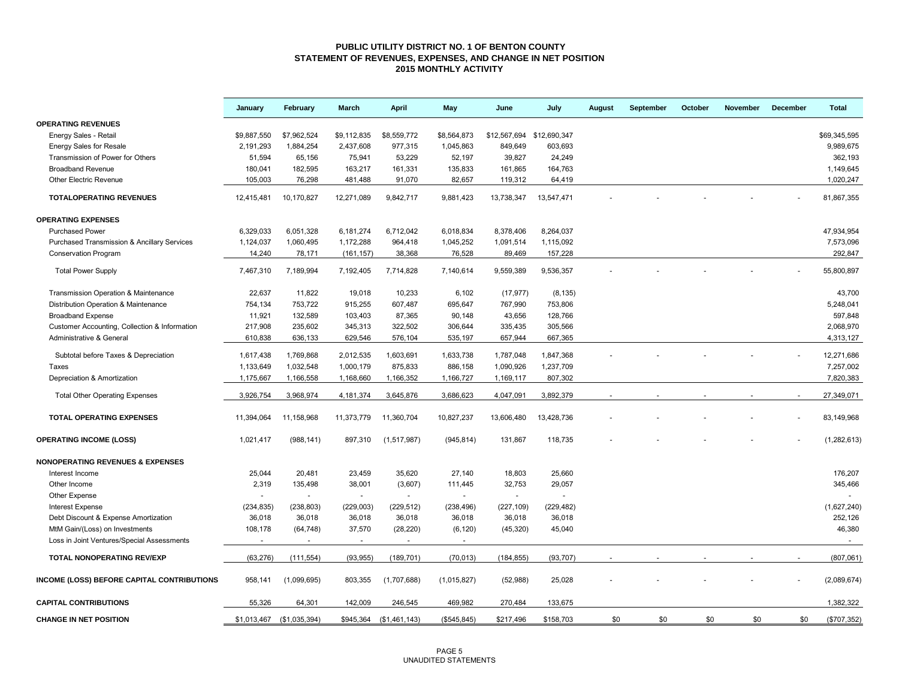#### **PUBLIC UTILITY DISTRICT NO. 1 OF BENTON COUNTY STATEMENT OF REVENUES, EXPENSES, AND CHANGE IN NET POSITION 2015 MONTHLY ACTIVITY**

|                                                        | January     | February                  | March          | <b>April</b>   | May          | June                      | July       | August | September | October | November | December | <b>Total</b>  |
|--------------------------------------------------------|-------------|---------------------------|----------------|----------------|--------------|---------------------------|------------|--------|-----------|---------|----------|----------|---------------|
| <b>OPERATING REVENUES</b>                              |             |                           |                |                |              |                           |            |        |           |         |          |          |               |
| Energy Sales - Retail                                  | \$9,887,550 | \$7,962,524               | \$9,112,835    | \$8,559,772    | \$8,564,873  | \$12,567,694 \$12,690,347 |            |        |           |         |          |          | \$69.345.595  |
| <b>Energy Sales for Resale</b>                         | 2,191,293   | 1,884,254                 | 2,437,608      | 977,315        | 1,045,863    | 849,649                   | 603,693    |        |           |         |          |          | 9,989,675     |
| Transmission of Power for Others                       | 51,594      | 65,156                    | 75,941         | 53,229         | 52,197       | 39,827                    | 24,249     |        |           |         |          |          | 362,193       |
| <b>Broadband Revenue</b>                               | 180,041     | 182,595                   | 163,217        | 161,331        | 135,833      | 161,865                   | 164,763    |        |           |         |          |          | 1,149,645     |
| <b>Other Electric Revenue</b>                          | 105.003     | 76,298                    | 481,488        | 91,070         | 82,657       | 119,312                   | 64,419     |        |           |         |          |          | 1,020,247     |
| <b>TOTALOPERATING REVENUES</b>                         | 12,415,481  | 10,170,827                | 12,271,089     | 9,842,717      | 9,881,423    | 13,738,347                | 13,547,471 |        |           |         |          |          | 81,867,355    |
| <b>OPERATING EXPENSES</b>                              |             |                           |                |                |              |                           |            |        |           |         |          |          |               |
| <b>Purchased Power</b>                                 | 6,329,033   | 6,051,328                 | 6,181,274      | 6,712,042      | 6,018,834    | 8,378,406                 | 8,264,037  |        |           |         |          |          | 47,934,954    |
| <b>Purchased Transmission &amp; Ancillary Services</b> | 1,124,037   | 1,060,495                 | 1,172,288      | 964,418        | 1,045,252    | 1,091,514                 | 1,115,092  |        |           |         |          |          | 7,573,096     |
| <b>Conservation Program</b>                            | 14,240      | 78,171                    | (161, 157)     | 38,368         | 76,528       | 89,469                    | 157,228    |        |           |         |          |          | 292,847       |
| <b>Total Power Supply</b>                              | 7,467,310   | 7,189,994                 | 7,192,405      | 7,714,828      | 7,140,614    | 9,559,389                 | 9,536,357  |        |           |         |          |          | 55,800,897    |
| Transmission Operation & Maintenance                   | 22,637      | 11,822                    | 19,018         | 10,233         | 6,102        | (17, 977)                 | (8, 135)   |        |           |         |          |          | 43,700        |
| Distribution Operation & Maintenance                   | 754,134     | 753,722                   | 915,255        | 607,487        | 695,647      | 767,990                   | 753,806    |        |           |         |          |          | 5,248,041     |
| <b>Broadband Expense</b>                               | 11,921      | 132,589                   | 103,403        | 87,365         | 90,148       | 43,656                    | 128,766    |        |           |         |          |          | 597,848       |
| Customer Accounting, Collection & Information          | 217,908     | 235,602                   | 345,313        | 322,502        | 306,644      | 335,435                   | 305,566    |        |           |         |          |          | 2,068,970     |
| Administrative & General                               | 610,838     | 636,133                   | 629,546        | 576,104        | 535,197      | 657,944                   | 667,365    |        |           |         |          |          | 4,313,127     |
| Subtotal before Taxes & Depreciation                   | 1,617,438   | 1,769,868                 | 2,012,535      | 1,603,691      | 1,633,738    | 1,787,048                 | 1,847,368  |        |           |         |          |          | 12,271,686    |
| Taxes                                                  | 1,133,649   | 1,032,548                 | 1,000,179      | 875,833        | 886,158      | 1,090,926                 | 1,237,709  |        |           |         |          |          | 7,257,002     |
| Depreciation & Amortization                            | 1,175,667   | 1,166,558                 | 1,168,660      | 1,166,352      | 1,166,727    | 1,169,117                 | 807,302    |        |           |         |          |          | 7,820,383     |
|                                                        |             |                           |                |                |              |                           |            |        |           |         |          |          |               |
| <b>Total Other Operating Expenses</b>                  | 3,926,754   | 3,968,974                 | 4,181,374      | 3,645,876      | 3,686,623    | 4,047,091                 | 3,892,379  |        |           |         |          |          | 27,349,071    |
| <b>TOTAL OPERATING EXPENSES</b>                        | 11,394,064  | 11,158,968                | 11,373,779     | 11,360,704     | 10,827,237   | 13,606,480                | 13,428,736 |        |           |         |          |          | 83,149,968    |
| <b>OPERATING INCOME (LOSS)</b>                         | 1,021,417   | (988, 141)                | 897,310        | (1,517,987)    | (945, 814)   | 131,867                   | 118,735    |        |           |         |          |          | (1, 282, 613) |
| <b>NONOPERATING REVENUES &amp; EXPENSES</b>            |             |                           |                |                |              |                           |            |        |           |         |          |          |               |
| Interest Income                                        | 25,044      | 20,481                    | 23,459         | 35,620         | 27,140       | 18,803                    | 25,660     |        |           |         |          |          | 176,207       |
| Other Income                                           | 2,319       | 135,498                   | 38,001         | (3,607)        | 111,445      | 32,753                    | 29,057     |        |           |         |          |          | 345,466       |
| Other Expense                                          |             |                           | $\blacksquare$ | $\blacksquare$ |              | $\sim$                    | $\omega$   |        |           |         |          |          |               |
| <b>Interest Expense</b>                                | (234, 835)  | (238, 803)                | (229, 003)     | (229, 512)     | (238, 496)   | (227, 109)                | (229, 482) |        |           |         |          |          | (1,627,240)   |
| Debt Discount & Expense Amortization                   | 36,018      | 36,018                    | 36,018         | 36,018         | 36,018       | 36,018                    | 36,018     |        |           |         |          |          | 252,126       |
| MtM Gain/(Loss) on Investments                         | 108,178     | (64, 748)                 | 37,570         | (28, 220)      | (6, 120)     | (45, 320)                 | 45,040     |        |           |         |          |          | 46,380        |
| Loss in Joint Ventures/Special Assessments             |             | $\sim$                    | $\sim$         | $\blacksquare$ | $\sim$       |                           |            |        |           |         |          |          | $\sim$        |
| <b>TOTAL NONOPERATING REV/EXP</b>                      | (63, 276)   | (111, 554)                | (93, 955)      | (189, 701)     | (70, 013)    | (184, 855)                | (93, 707)  |        |           |         |          |          | (807,061)     |
| <b>INCOME (LOSS) BEFORE CAPITAL CONTRIBUTIONS</b>      | 958,141     | (1,099,695)               | 803,355        | (1,707,688)    | (1,015,827)  | (52,988)                  | 25,028     |        |           |         |          |          | (2,089,674)   |
| <b>CAPITAL CONTRIBUTIONS</b>                           | 55,326      | 64,301                    | 142,009        | 246,545        | 469,982      | 270,484                   | 133,675    |        |           |         |          |          | 1,382,322     |
| <b>CHANGE IN NET POSITION</b>                          |             | \$1,013,467 (\$1,035,394) | \$945,364      | (\$1,461,143)  | (\$545, 845) | \$217,496                 | \$158,703  | \$0    | \$0       | \$0     | \$0      | \$0      | (\$707,352)   |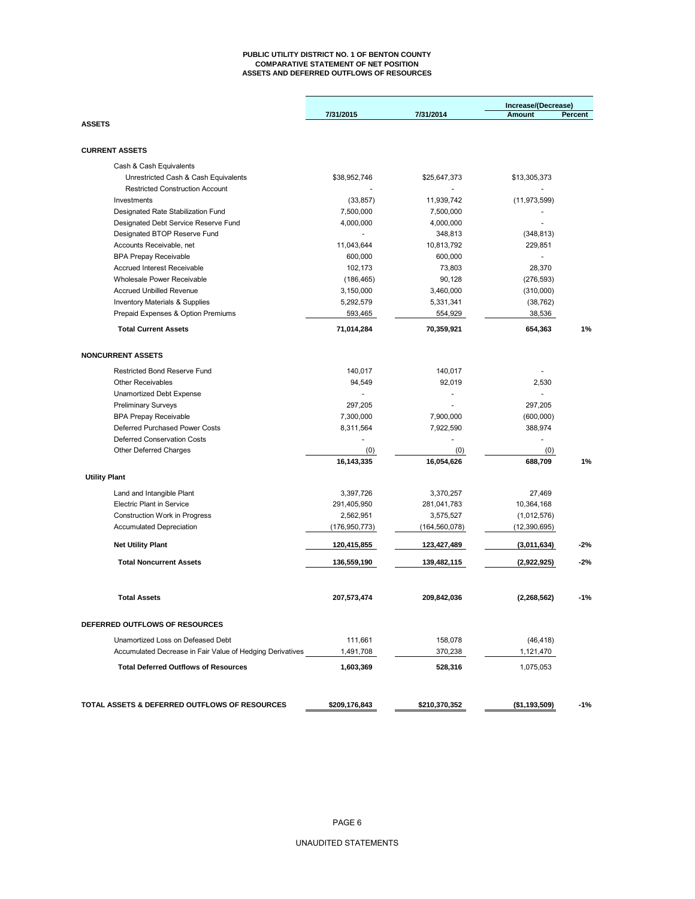#### **PUBLIC UTILITY DISTRICT NO. 1 OF BENTON COUNTY COMPARATIVE STATEMENT OF NET POSITION ASSETS AND DEFERRED OUTFLOWS OF RESOURCES**

|                                                               |               |                 | Increase/(Decrease) |         |  |
|---------------------------------------------------------------|---------------|-----------------|---------------------|---------|--|
|                                                               | 7/31/2015     | 7/31/2014       | <b>Amount</b>       | Percent |  |
| <b>ASSETS</b>                                                 |               |                 |                     |         |  |
| <b>CURRENT ASSETS</b>                                         |               |                 |                     |         |  |
| Cash & Cash Equivalents                                       |               |                 |                     |         |  |
| Unrestricted Cash & Cash Equivalents                          | \$38,952,746  | \$25,647,373    | \$13,305,373        |         |  |
| <b>Restricted Construction Account</b>                        |               |                 |                     |         |  |
| Investments                                                   | (33, 857)     | 11,939,742      | (11, 973, 599)      |         |  |
| Designated Rate Stabilization Fund                            | 7,500,000     | 7,500,000       |                     |         |  |
| Designated Debt Service Reserve Fund                          | 4,000,000     | 4,000,000       |                     |         |  |
| Designated BTOP Reserve Fund                                  |               | 348,813         | (348, 813)          |         |  |
| Accounts Receivable, net                                      | 11,043,644    | 10,813,792      | 229,851             |         |  |
| <b>BPA Prepay Receivable</b>                                  | 600,000       | 600,000         |                     |         |  |
| <b>Accrued Interest Receivable</b>                            | 102,173       | 73,803          | 28,370              |         |  |
| Wholesale Power Receivable                                    | (186, 465)    | 90,128          | (276, 593)          |         |  |
| <b>Accrued Unbilled Revenue</b>                               | 3,150,000     | 3,460,000       | (310,000)           |         |  |
| <b>Inventory Materials &amp; Supplies</b>                     | 5,292,579     | 5,331,341       | (38, 762)           |         |  |
| Prepaid Expenses & Option Premiums                            | 593,465       | 554,929         | 38,536              |         |  |
| <b>Total Current Assets</b>                                   | 71,014,284    | 70,359,921      | 654,363             | 1%      |  |
| <b>NONCURRENT ASSETS</b>                                      |               |                 |                     |         |  |
| <b>Restricted Bond Reserve Fund</b>                           | 140,017       | 140,017         |                     |         |  |
| <b>Other Receivables</b>                                      | 94.549        | 92,019          | 2,530               |         |  |
| <b>Unamortized Debt Expense</b>                               |               |                 |                     |         |  |
| <b>Preliminary Surveys</b>                                    | 297,205       |                 | 297,205             |         |  |
| <b>BPA Prepay Receivable</b>                                  | 7,300,000     | 7,900,000       | (600,000)           |         |  |
| Deferred Purchased Power Costs                                | 8,311,564     | 7,922,590       | 388,974             |         |  |
| <b>Deferred Conservation Costs</b>                            |               |                 |                     |         |  |
| Other Deferred Charges                                        | (0)           | (0)             | (0)                 |         |  |
|                                                               | 16,143,335    | 16,054,626      | 688,709             | 1%      |  |
| <b>Utility Plant</b>                                          |               |                 |                     |         |  |
|                                                               | 3,397,726     | 3,370,257       | 27,469              |         |  |
| Land and Intangible Plant<br><b>Electric Plant in Service</b> | 291,405,950   | 281,041,783     | 10,364,168          |         |  |
| <b>Construction Work in Progress</b>                          | 2,562,951     | 3,575,527       | (1,012,576)         |         |  |
| <b>Accumulated Depreciation</b>                               | (176,950,773) | (164, 560, 078) | (12, 390, 695)      |         |  |
|                                                               |               |                 |                     |         |  |
| <b>Net Utility Plant</b>                                      | 120,415,855   | 123,427,489     | (3,011,634)         | -2%     |  |
| <b>Total Noncurrent Assets</b>                                | 136,559,190   | 139,482,115     | (2,922,925)         | $-2%$   |  |
| <b>Total Assets</b>                                           | 207,573,474   | 209,842,036     | (2,268,562)         | $-1%$   |  |
| <b>DEFERRED OUTFLOWS OF RESOURCES</b>                         |               |                 |                     |         |  |
|                                                               |               |                 |                     |         |  |
| Unamortized Loss on Defeased Debt                             | 111,661       | 158,078         | (46, 418)           |         |  |
| Accumulated Decrease in Fair Value of Hedging Derivatives     | 1,491,708     | 370,238         | 1,121,470           |         |  |
| <b>Total Deferred Outflows of Resources</b>                   | 1,603,369     | 528,316         | 1,075,053           |         |  |
|                                                               |               |                 |                     |         |  |
| TOTAL ASSETS & DEFERRED OUTFLOWS OF RESOURCES                 | \$209,176,843 | \$210,370,352   | (\$1,193,509)       | $-1%$   |  |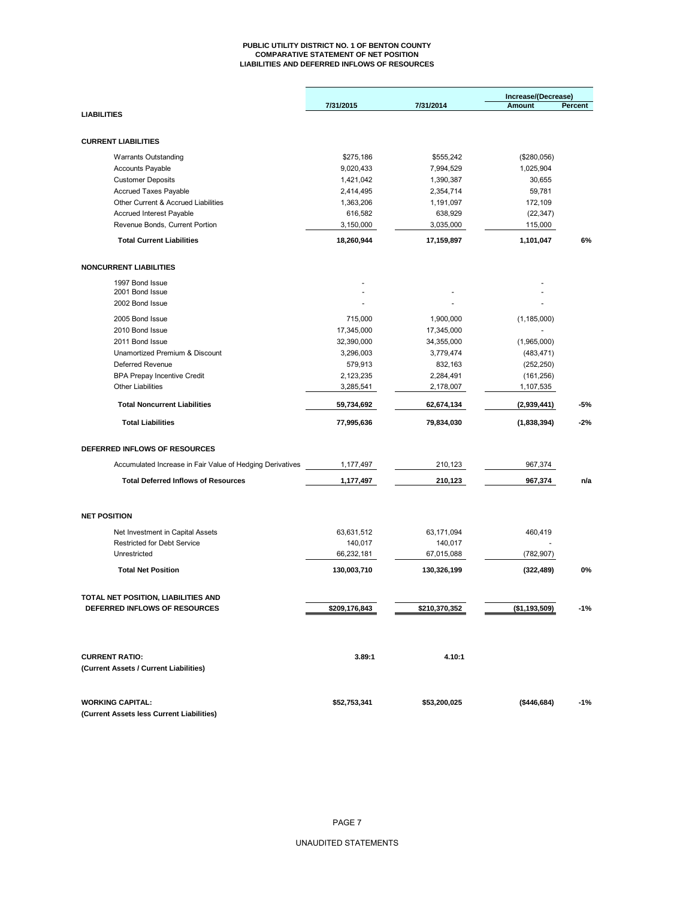#### **PUBLIC UTILITY DISTRICT NO. 1 OF BENTON COUNTY COMPARATIVE STATEMENT OF NET POSITION LIABILITIES AND DEFERRED INFLOWS OF RESOURCES**

|                                                                |               |               | Increase/(Decrease)      |         |
|----------------------------------------------------------------|---------------|---------------|--------------------------|---------|
| <b>LIABILITIES</b>                                             | 7/31/2015     | 7/31/2014     | <b>Amount</b>            | Percent |
|                                                                |               |               |                          |         |
|                                                                |               |               |                          |         |
| <b>CURRENT LIABILITIES</b>                                     |               |               |                          |         |
| <b>Warrants Outstanding</b>                                    | \$275,186     | \$555,242     | (\$280,056)              |         |
| <b>Accounts Payable</b>                                        | 9,020,433     | 7,994,529     | 1,025,904                |         |
| <b>Customer Deposits</b>                                       | 1,421,042     | 1,390,387     | 30,655                   |         |
| Accrued Taxes Payable                                          | 2,414,495     | 2,354,714     | 59,781                   |         |
| Other Current & Accrued Liabilities                            | 1,363,206     | 1,191,097     | 172,109                  |         |
| Accrued Interest Payable                                       | 616,582       | 638,929       | (22, 347)                |         |
| Revenue Bonds, Current Portion                                 | 3,150,000     | 3,035,000     | 115,000                  |         |
| <b>Total Current Liabilities</b>                               | 18,260,944    | 17,159,897    | 1,101,047                | 6%      |
| <b>NONCURRENT LIABILITIES</b>                                  |               |               |                          |         |
| 1997 Bond Issue                                                |               |               |                          |         |
| 2001 Bond Issue                                                |               |               |                          |         |
| 2002 Bond Issue                                                |               |               |                          |         |
| 2005 Bond Issue                                                | 715,000       | 1,900,000     | (1, 185, 000)            |         |
| 2010 Bond Issue                                                | 17,345,000    | 17,345,000    |                          |         |
| 2011 Bond Issue                                                | 32,390,000    | 34,355,000    | (1,965,000)              |         |
| Unamortized Premium & Discount                                 | 3,296,003     | 3,779,474     |                          |         |
| <b>Deferred Revenue</b>                                        | 579,913       | 832,163       | (483, 471)<br>(252, 250) |         |
|                                                                | 2,123,235     | 2,284,491     |                          |         |
| <b>BPA Prepay Incentive Credit</b><br><b>Other Liabilities</b> |               |               | (161, 256)               |         |
|                                                                | 3,285,541     | 2,178,007     | 1,107,535                |         |
| <b>Total Noncurrent Liabilities</b>                            | 59,734,692    | 62,674,134    | (2,939,441)              | $-5%$   |
| <b>Total Liabilities</b>                                       | 77,995,636    | 79,834,030    | (1,838,394)              | $-2%$   |
| DEFERRED INFLOWS OF RESOURCES                                  |               |               |                          |         |
| Accumulated Increase in Fair Value of Hedging Derivatives      | 1,177,497     | 210,123       | 967,374                  |         |
| <b>Total Deferred Inflows of Resources</b>                     | 1,177,497     | 210,123       | 967,374                  | n/a     |
|                                                                |               |               |                          |         |
| <b>NET POSITION</b>                                            |               |               |                          |         |
| Net Investment in Capital Assets                               | 63,631,512    | 63,171,094    | 460,419                  |         |
| <b>Restricted for Debt Service</b>                             | 140,017       | 140,017       |                          |         |
| Unrestricted                                                   | 66,232,181    | 67,015,088    | (782, 907)               |         |
| <b>Total Net Position</b>                                      | 130,003,710   | 130,326,199   | (322, 489)               | 0%      |
| TOTAL NET POSITION, LIABILITIES AND                            |               |               |                          |         |
| DEFERRED INFLOWS OF RESOURCES                                  | \$209,176,843 | \$210,370,352 | (\$1,193,509)            | -1%     |
|                                                                |               |               |                          |         |
| <b>CURRENT RATIO:</b>                                          | 3.89:1        | 4.10:1        |                          |         |
| (Current Assets / Current Liabilities)                         |               |               |                          |         |
| <b>WORKING CAPITAL:</b>                                        | \$52,753,341  | \$53,200,025  | $(*446,684)$             | $-1%$   |
| (Current Assets less Current Liabilities)                      |               |               |                          |         |

# UNAUDITED STATEMENTS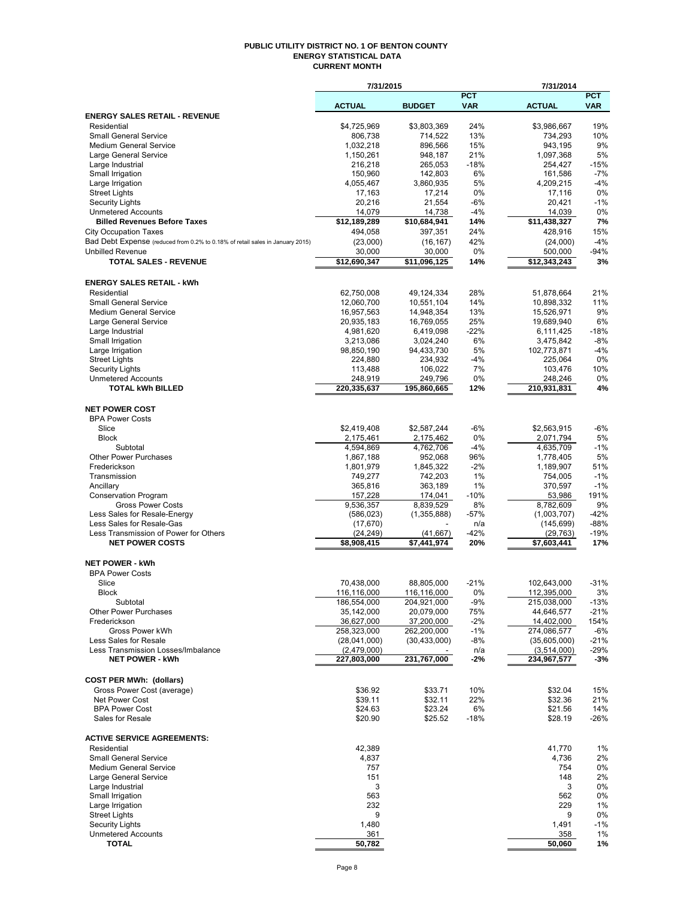#### **PUBLIC UTILITY DISTRICT NO. 1 OF BENTON COUNTY ENERGY STATISTICAL DATA CURRENT MONTH**

|                                                                               | 7/31/2015                 |                           |              | 7/31/2014                 |                  |
|-------------------------------------------------------------------------------|---------------------------|---------------------------|--------------|---------------------------|------------------|
|                                                                               |                           |                           | <b>PCT</b>   |                           | <b>PCT</b>       |
|                                                                               | <b>ACTUAL</b>             | <b>BUDGET</b>             | <b>VAR</b>   | <b>ACTUAL</b>             | <b>VAR</b>       |
| <b>ENERGY SALES RETAIL - REVENUE</b>                                          |                           | \$3,803,369               | 24%          |                           |                  |
| Residential<br><b>Small General Service</b>                                   | \$4,725,969<br>806,738    | 714,522                   | 13%          | \$3,986,667<br>734,293    | 19%<br>10%       |
| <b>Medium General Service</b>                                                 | 1,032,218                 | 896,566                   | 15%          | 943,195                   | 9%               |
| Large General Service                                                         | 1,150,261                 | 948,187                   | 21%          | 1,097,368                 | 5%               |
| Large Industrial                                                              | 216,218                   | 265,053                   | $-18%$       | 254.427                   | $-15%$           |
| Small Irrigation                                                              | 150,960                   | 142,803                   | 6%           | 161,586                   | $-7%$            |
| Large Irrigation                                                              | 4,055,467                 | 3,860,935                 | 5%           | 4,209,215                 | $-4%$            |
| <b>Street Lights</b>                                                          | 17,163                    | 17,214                    | 0%           | 17,116                    | 0%               |
| <b>Security Lights</b>                                                        | 20,216                    | 21,554                    | $-6%$        | 20,421                    | $-1%$            |
| <b>Unmetered Accounts</b>                                                     | 14,079                    | 14,738                    | $-4%$        | 14,039                    | 0%               |
| <b>Billed Revenues Before Taxes</b><br><b>City Occupation Taxes</b>           | \$12,189,289<br>494,058   | \$10,684,941<br>397,351   | 14%<br>24%   | \$11,438,327<br>428,916   | 7%<br>15%        |
| Bad Debt Expense (reduced from 0.2% to 0.18% of retail sales in January 2015) | (23,000)                  | (16, 167)                 | 42%          | (24,000)                  | $-4%$            |
| <b>Unbilled Revenue</b>                                                       | 30,000                    | 30,000                    | 0%           | 500,000                   | $-94%$           |
| <b>TOTAL SALES - REVENUE</b>                                                  | \$12,690,347              | \$11,096,125              | 14%          | \$12,343,243              | 3%               |
|                                                                               |                           |                           |              |                           |                  |
| <b>ENERGY SALES RETAIL - kWh</b>                                              |                           |                           |              |                           |                  |
| Residential                                                                   | 62,750,008                | 49,124,334                | 28%          | 51,878,664                | 21%              |
| <b>Small General Service</b>                                                  | 12,060,700                | 10,551,104                | 14%          | 10,898,332                | 11%              |
| <b>Medium General Service</b>                                                 | 16,957,563                | 14,948,354                | 13%          | 15,526,971                | 9%               |
| Large General Service                                                         | 20,935,183                | 16,769,055                | 25%          | 19,689,940                | 6%               |
| Large Industrial                                                              | 4,981,620                 | 6,419,098                 | $-22%$       | 6,111,425                 | $-18%$           |
| Small Irrigation                                                              | 3,213,086                 | 3,024,240                 | 6%           | 3,475,842                 | $-8%$            |
| Large Irrigation                                                              | 98,850,190                | 94,433,730                | 5%           | 102,773,871               | $-4%$            |
| <b>Street Lights</b>                                                          | 224,880                   | 234,932                   | $-4%$        | 225,064                   | 0%               |
| <b>Security Lights</b><br><b>Unmetered Accounts</b>                           | 113,488<br>248,919        | 106,022<br>249,796        | 7%<br>0%     | 103,476<br>248,246        | 10%<br>0%        |
| <b>TOTAL kWh BILLED</b>                                                       | 220,335,637               | 195,860,665               | 12%          | 210,931,831               | 4%               |
|                                                                               |                           |                           |              |                           |                  |
| <b>NET POWER COST</b>                                                         |                           |                           |              |                           |                  |
| <b>BPA Power Costs</b>                                                        |                           |                           |              |                           |                  |
| Slice                                                                         | \$2,419,408               | \$2,587,244               | $-6%$        | \$2,563,915               | $-6%$            |
| <b>Block</b>                                                                  | 2,175,461                 | 2,175,462                 | 0%           | 2,071,794                 | 5%               |
| Subtotal                                                                      | 4,594,869                 | 4,762,706                 | $-4%$        | 4,635,709                 | $-1%$            |
| <b>Other Power Purchases</b>                                                  | 1,867,188                 | 952,068                   | 96%          | 1,778,405                 | 5%               |
| Frederickson                                                                  | 1,801,979                 | 1,845,322                 | $-2%$        | 1,189,907                 | 51%              |
| Transmission                                                                  | 749,277                   | 742,203                   | 1%           | 754,005                   | $-1%$            |
| Ancillary                                                                     | 365,816                   | 363,189                   | 1%           | 370,597                   | $-1%$            |
| <b>Conservation Program</b><br><b>Gross Power Costs</b>                       | 157,228<br>9,536,357      | 174,041<br>8,839,529      | $-10%$<br>8% | 53,986<br>8,782,609       | 191%<br>9%       |
| Less Sales for Resale-Energy                                                  | (586, 023)                | (1,355,888)               | $-57%$       | (1,003,707)               | $-42%$           |
| Less Sales for Resale-Gas                                                     | (17, 670)                 |                           | n/a          | (145, 699)                | $-88%$           |
| Less Transmission of Power for Others                                         | (24, 249)                 | (41, 667)                 | $-42%$       | (29, 763)                 | $-19%$           |
| <b>NET POWER COSTS</b>                                                        | \$8,908,415               | \$7,441,974               | 20%          | \$7,603,441               | 17%              |
|                                                                               |                           |                           |              |                           |                  |
| <b>NET POWER - kWh</b>                                                        |                           |                           |              |                           |                  |
| <b>BPA Power Costs</b>                                                        |                           |                           |              |                           |                  |
| Slice                                                                         | 70,438,000                | 88,805,000                | $-21%$       | 102.643.000               | $-31%$           |
| Block                                                                         | 116,116,000               | 116,116,000               | 0%           | 112,395,000               | 3%               |
| Subtotal<br><b>Other Power Purchases</b>                                      | 186,554,000<br>35,142,000 | 204,921,000<br>20,079,000 | $-9%$<br>75% | 215,038,000<br>44,646,577 | $-13%$<br>$-21%$ |
| Frederickson                                                                  | 36,627,000                | 37,200,000                | -2%          | 14,402,000                | 154%             |
| Gross Power kWh                                                               | 258,323,000               | 262,200,000               | $-1%$        | 274,086,577               | $-6%$            |
| Less Sales for Resale                                                         | (28,041,000)              | (30, 433, 000)            | -8%          | (35,605,000)              | $-21%$           |
| Less Transmission Losses/Imbalance                                            | (2,479,000)               |                           | n/a          | (3,514,000)               | -29%             |
| <b>NET POWER - kWh</b>                                                        | 227,803,000               | 231,767,000               | -2%          | 234,967,577               | -3%              |
|                                                                               |                           |                           |              |                           |                  |
| <b>COST PER MWh: (dollars)</b>                                                |                           |                           |              |                           |                  |
| Gross Power Cost (average)                                                    | \$36.92                   | \$33.71                   | 10%          | \$32.04                   | 15%              |
| Net Power Cost                                                                | \$39.11                   | \$32.11                   | 22%          | \$32.36                   | 21%              |
| <b>BPA Power Cost</b>                                                         | \$24.63                   | \$23.24                   | 6%           | \$21.56                   | 14%              |
| Sales for Resale                                                              | \$20.90                   | \$25.52                   | $-18%$       | \$28.19                   | $-26%$           |
| <b>ACTIVE SERVICE AGREEMENTS:</b>                                             |                           |                           |              |                           |                  |
| Residential                                                                   | 42,389                    |                           |              | 41,770                    | 1%               |
| <b>Small General Service</b>                                                  | 4,837                     |                           |              | 4,736                     | 2%               |
| <b>Medium General Service</b>                                                 | 757                       |                           |              | 754                       | 0%               |
| Large General Service                                                         | 151                       |                           |              | 148                       | 2%               |
| Large Industrial                                                              | 3                         |                           |              | 3                         | 0%               |
| Small Irrigation                                                              | 563                       |                           |              | 562                       | 0%               |
| Large Irrigation                                                              | 232                       |                           |              | 229                       | 1%               |
| <b>Street Lights</b>                                                          | 9                         |                           |              | 9                         | 0%               |
| <b>Security Lights</b>                                                        | 1,480                     |                           |              | 1,491                     | $-1%$            |
| <b>Unmetered Accounts</b>                                                     | 361<br>50,782             |                           |              | 358                       | 1%               |
| <b>TOTAL</b>                                                                  |                           |                           |              | 50,060                    | 1%               |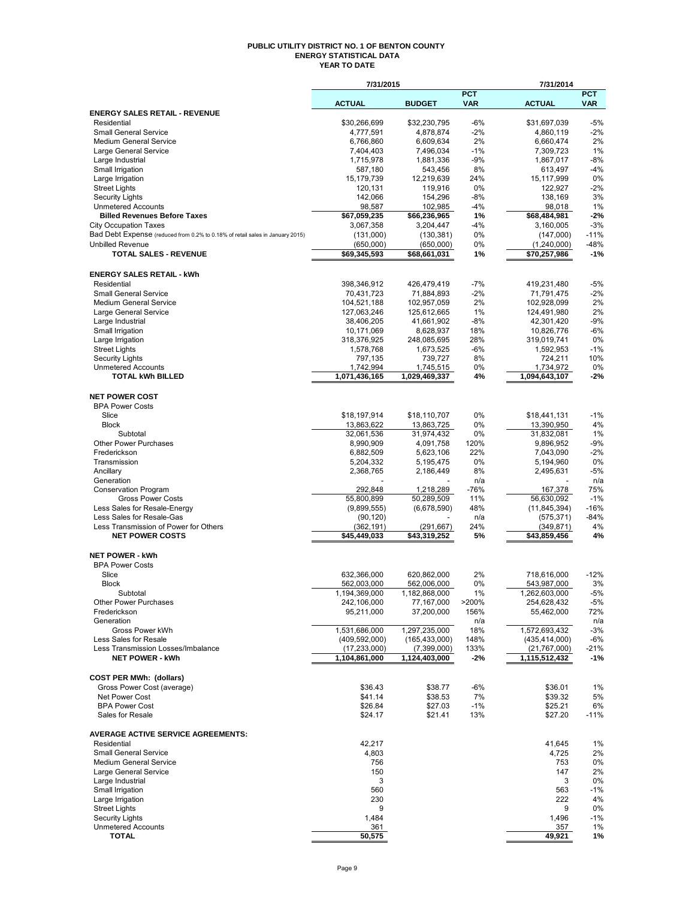#### **PUBLIC UTILITY DISTRICT NO. 1 OF BENTON COUNTY ENERGY STATISTICAL DATA YEAR TO DATE**

|                                                                               | 7/31/2015                        |                                  |                          | 7/31/2014                 |                          |
|-------------------------------------------------------------------------------|----------------------------------|----------------------------------|--------------------------|---------------------------|--------------------------|
|                                                                               | <b>ACTUAL</b>                    | <b>BUDGET</b>                    | <b>PCT</b><br><b>VAR</b> | <b>ACTUAL</b>             | <b>PCT</b><br><b>VAR</b> |
| <b>ENERGY SALES RETAIL - REVENUE</b>                                          |                                  |                                  |                          |                           |                          |
| Residential                                                                   | \$30,266,699                     | \$32,230,795                     | $-6%$                    | \$31,697,039              | $-5%$                    |
| <b>Small General Service</b><br><b>Medium General Service</b>                 | 4,777,591<br>6,766,860           | 4,878,874<br>6,609,634           | $-2%$<br>2%              | 4,860,119<br>6,660,474    | $-2%$<br>2%              |
| Large General Service                                                         | 7,404,403                        | 7,496,034                        | $-1%$                    | 7,309,723                 | 1%                       |
| Large Industrial                                                              | 1,715,978                        | 1,881,336                        | $-9%$                    | 1,867,017                 | $-8%$                    |
| Small Irrigation                                                              | 587,180                          | 543,456                          | 8%                       | 613,497                   | $-4%$                    |
| Large Irrigation                                                              | 15,179,739                       | 12,219,639                       | 24%                      | 15,117,999                | 0%                       |
| <b>Street Lights</b><br><b>Security Lights</b>                                | 120,131<br>142.066               | 119,916<br>154,296               | 0%<br>$-8%$              | 122,927<br>138,169        | $-2%$<br>3%              |
| <b>Unmetered Accounts</b>                                                     | 98,587                           | 102,985                          | $-4%$                    | 98,018                    | 1%                       |
| <b>Billed Revenues Before Taxes</b>                                           | \$67,059,235                     | \$66,236,965                     | 1%                       | \$68,484,981              | $-2%$                    |
| <b>City Occupation Taxes</b>                                                  | 3,067,358                        | 3,204,447                        | $-4%$                    | 3,160,005                 | $-3%$                    |
| Bad Debt Expense (reduced from 0.2% to 0.18% of retail sales in January 2015) | (131,000)                        | (130, 381)                       | 0%                       | (147,000)                 | $-11%$                   |
| <b>Unbilled Revenue</b>                                                       | (650,000)                        | (650,000)                        | 0%                       | (1, 240, 000)             | -48%                     |
| <b>TOTAL SALES - REVENUE</b>                                                  | \$69,345,593                     | \$68,661,031                     | 1%                       | \$70,257,986              | $-1%$                    |
| <b>ENERGY SALES RETAIL - kWh</b>                                              |                                  |                                  |                          |                           |                          |
| Residential                                                                   | 398,346,912                      | 426,479,419                      | $-7%$                    | 419,231,480               | $-5%$                    |
| <b>Small General Service</b>                                                  | 70,431,723                       | 71,884,893                       | $-2%$                    | 71,791,475                | $-2%$                    |
| <b>Medium General Service</b>                                                 | 104,521,188                      | 102,957,059                      | 2%                       | 102,928,099               | 2%                       |
| Large General Service                                                         | 127,063,246                      | 125,612,665                      | 1%                       | 124,491,980               | 2%                       |
| Large Industrial                                                              | 38,406,205                       | 41,661,902                       | $-8%$                    | 42,301,420                | $-9%$                    |
| Small Irrigation<br>Large Irrigation                                          | 10,171,069<br>318,376,925        | 8,628,937<br>248,085,695         | 18%<br>28%               | 10,826,776<br>319,019,741 | $-6%$<br>0%              |
| <b>Street Lights</b>                                                          | 1,578,768                        | 1,673,525                        | -6%                      | 1,592,953                 | $-1%$                    |
| <b>Security Lights</b>                                                        | 797,135                          | 739,727                          | 8%                       | 724,211                   | 10%                      |
| <b>Unmetered Accounts</b>                                                     | 1,742,994                        | 1,745,515                        | 0%                       | 1,734,972                 | 0%                       |
| <b>TOTAL kWh BILLED</b>                                                       | 1,071,436,165                    | 1,029,469,337                    | 4%                       | 1,094,643,107             | $-2%$                    |
| <b>NET POWER COST</b>                                                         |                                  |                                  |                          |                           |                          |
| <b>BPA Power Costs</b>                                                        |                                  |                                  |                          |                           |                          |
| Slice                                                                         | \$18,197,914                     | \$18,110,707                     | 0%                       | \$18,441,131              | $-1%$                    |
| <b>Block</b>                                                                  | 13,863,622                       | 13,863,725                       | 0%                       | 13,390,950                | 4%                       |
| Subtotal                                                                      | 32,061,536                       | 31,974,432                       | 0%                       | 31,832,081                | 1%                       |
| Other Power Purchases                                                         | 8,990,909                        | 4,091,758                        | 120%                     | 9,896,952                 | $-9%$                    |
| Frederickson<br>Transmission                                                  | 6,882,509<br>5,204,332           | 5,623,106<br>5,195,475           | 22%<br>0%                | 7,043,090<br>5,194,960    | $-2%$<br>0%              |
| Ancillary                                                                     | 2,368,765                        | 2,186,449                        | 8%                       | 2,495,631                 | $-5%$                    |
| Generation                                                                    |                                  |                                  | n/a                      |                           | n/a                      |
| Conservation Program                                                          | 292,848                          | 1,218,289                        | $-76%$                   | 167,378                   | 75%                      |
| <b>Gross Power Costs</b>                                                      | 55,800,899                       | 50,289,509                       | 11%                      | 56,630,092                | $-1%$                    |
| Less Sales for Resale-Energy                                                  | (9,899,555)                      | (6,678,590)                      | 48%                      | (11, 845, 394)            | $-16%$                   |
| Less Sales for Resale-Gas<br>Less Transmission of Power for Others            | (90, 120)<br>(362, 191)          | (291, 667)                       | n/a<br>24%               | (575, 371)<br>(349, 871)  | $-84%$<br>4%             |
| <b>NET POWER COSTS</b>                                                        | \$45,449,033                     | \$43,319,252                     | 5%                       | \$43,859,456              | 4%                       |
|                                                                               |                                  |                                  |                          |                           |                          |
| <b>NET POWER - kWh</b>                                                        |                                  |                                  |                          |                           |                          |
| <b>BPA Power Costs</b><br>Slice                                               | 632.366.000                      | 620,862,000                      | 2%                       | 718,616,000               | $-12%$                   |
| <b>Block</b>                                                                  | 562,003,000                      | 562,006,000                      | $0\%$                    | 543,987,000               | 3%                       |
| Subtotal                                                                      | 1,194,369,000                    | 1,182,868,000                    | $1\%$                    | 1,262,603,000             | $-5%$                    |
| <b>Other Power Purchases</b>                                                  | 242,106,000                      | 77,167,000                       | >200%                    | 254,628,432               | $-5%$                    |
| Frederickson                                                                  | 95,211,000                       | 37,200,000                       | 156%                     | 55,462,000                | 72%                      |
| Generation                                                                    |                                  |                                  | n/a                      | 1,572,693,432             | n/a                      |
| Gross Power kWh<br>Less Sales for Resale                                      | 1,531,686,000<br>(409, 592, 000) | 1,297,235,000<br>(165, 433, 000) | 18%<br>148%              | (435, 414, 000)           | $-3%$<br>$-6%$           |
| Less Transmission Losses/Imbalance                                            | (17, 233, 000)                   | (7,399,000)                      | 133%                     | (21,767,000)              | -21%                     |
| <b>NET POWER - kWh</b>                                                        | 1,104,861,000                    | 1,124,403,000                    | -2%                      | 1,115,512,432             | $-1%$                    |
|                                                                               |                                  |                                  |                          |                           |                          |
| <b>COST PER MWh: (dollars)</b>                                                | \$36.43                          | \$38.77                          | -6%                      | \$36.01                   |                          |
| Gross Power Cost (average)<br><b>Net Power Cost</b>                           | \$41.14                          | \$38.53                          | 7%                       | \$39.32                   | 1%<br>5%                 |
| <b>BPA Power Cost</b>                                                         | \$26.84                          | \$27.03                          | $-1%$                    | \$25.21                   | 6%                       |
| Sales for Resale                                                              | \$24.17                          | \$21.41                          | 13%                      | \$27.20                   | $-11%$                   |
| <b>AVERAGE ACTIVE SERVICE AGREEMENTS:</b>                                     |                                  |                                  |                          |                           |                          |
| Residential                                                                   | 42,217                           |                                  |                          | 41,645                    | 1%                       |
| <b>Small General Service</b>                                                  | 4,803                            |                                  |                          | 4,725                     | 2%                       |
| <b>Medium General Service</b>                                                 | 756                              |                                  |                          | 753                       | 0%                       |
| Large General Service                                                         | 150                              |                                  |                          | 147                       | 2%                       |
| Large Industrial                                                              | 3                                |                                  |                          | 3                         | 0%                       |
| Small Irrigation<br>Large Irrigation                                          | 560<br>230                       |                                  |                          | 563<br>222                | $-1\%$<br>4%             |
| <b>Street Lights</b>                                                          | 9                                |                                  |                          | 9                         | 0%                       |
| <b>Security Lights</b>                                                        | 1,484                            |                                  |                          | 1,496                     | $-1%$                    |
| <b>Unmetered Accounts</b>                                                     | 361                              |                                  |                          | 357                       | 1%                       |
| <b>TOTAL</b>                                                                  | 50,575                           |                                  |                          | 49,921                    | 1%                       |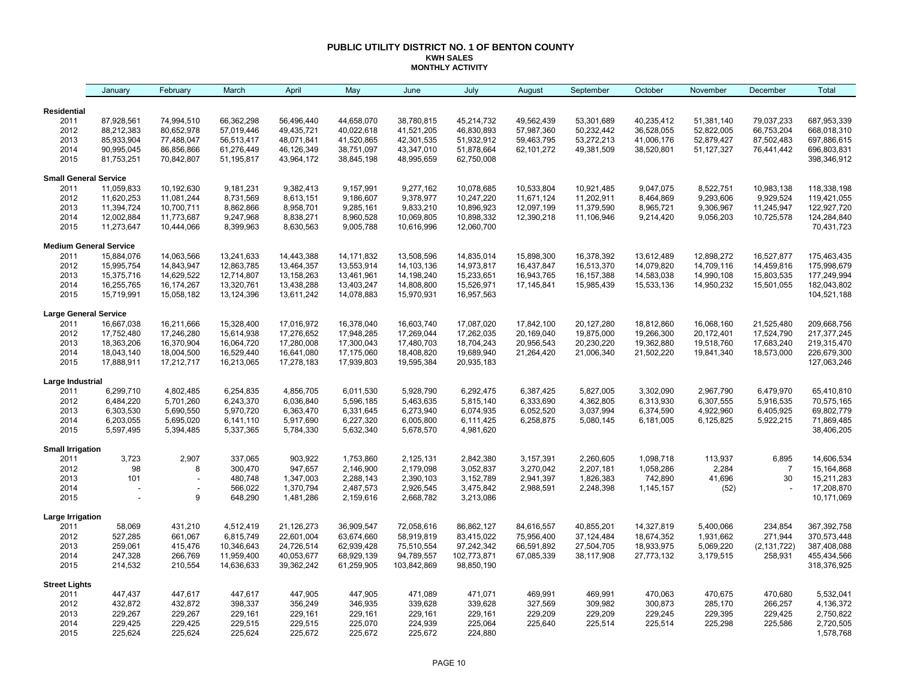#### **PUBLIC UTILITY DISTRICT NO. 1 OF BENTON COUNTY KWH SALES MONTHLY ACTIVITY**

|                                 | January                       | February                 | March                  | April                  | May                    | June                   | July                   | August       | September  | October    | November     | December       | Total                    |
|---------------------------------|-------------------------------|--------------------------|------------------------|------------------------|------------------------|------------------------|------------------------|--------------|------------|------------|--------------|----------------|--------------------------|
| Residential                     |                               |                          |                        |                        |                        |                        |                        |              |            |            |              |                |                          |
| 2011                            | 87,928,561                    | 74,994,510               | 66,362,298             | 56,496,440             | 44,658,070             | 38,780,815             | 45,214,732             | 49,562,439   | 53,301,689 | 40,235,412 | 51,381,140   | 79,037,233     | 687,953,339              |
| 2012                            | 88,212,383                    | 80,652,978               | 57,019,446             | 49,435,721             | 40,022,618             | 41,521,205             | 46,830,893             | 57,987,360   | 50,232,442 | 36,528,055 | 52,822,005   | 66,753,204     | 668,018,310              |
| 2013                            | 85,933,904                    | 77,488,047               | 56,513,417             | 48,071,841             | 41,520,865             | 42,301,535             | 51,932,912             | 59,463,795   | 53,272,213 | 41,006,176 | 52,879,427   | 87,502,483     | 697,886,615              |
| 2014                            | 90,995,045                    | 86,856,866               | 61,276,449             | 46,126,349             | 38,751,097             | 43,347,010             | 51,878,664             | 62,101,272   | 49,381,509 | 38,520,801 | 51, 127, 327 | 76,441,442     | 696,803,831              |
| 2015                            | 81,753,251                    | 70,842,807               | 51,195,817             | 43,964,172             | 38,845,198             | 48,995,659             | 62,750,008             |              |            |            |              |                | 398,346,912              |
| <b>Small General Service</b>    |                               |                          |                        |                        |                        |                        |                        |              |            |            |              |                |                          |
| 2011                            | 11,059,833                    | 10,192,630               | 9,181,231              | 9,382,413              | 9,157,991              | 9,277,162              | 10,078,685             | 10,533,804   | 10,921,485 | 9,047,075  | 8,522,751    | 10,983,138     | 118,338,198              |
| 2012                            | 11,620,253                    | 11,081,244               | 8,731,569              | 8,613,151              | 9,186,607              | 9,378,977              | 10,247,220             | 11,671,124   | 11,202,911 | 8,464,869  | 9,293,606    | 9,929,524      | 119,421,055              |
| 2013                            | 11,394,724                    | 10,700,711               | 8,862,866              | 8,958,701              | 9,285,161              | 9,833,210              | 10,896,923             | 12,097,199   | 11,379,590 | 8,965,721  | 9,306,967    | 11,245,947     | 122,927,720              |
| 2014                            | 12,002,884                    | 11,773,687               | 9,247,968              | 8,838,271              | 8,960,528              | 10,069,805             | 10,898,332             | 12,390,218   | 11,106,946 | 9,214,420  | 9,056,203    | 10,725,578     | 124,284,840              |
| 2015                            | 11,273,647                    | 10,444,066               | 8,399,963              | 8,630,563              | 9,005,788              | 10,616,996             | 12,060,700             |              |            |            |              |                | 70,431,723               |
|                                 | <b>Medium General Service</b> |                          |                        |                        |                        |                        |                        |              |            |            |              |                |                          |
| 2011                            | 15,884,076                    | 14,063,566               | 13,241,633             | 14,443,388             | 14, 171, 832           | 13,508,596             | 14,835,014             | 15,898,300   | 16,378,392 | 13,612,489 | 12,898,272   | 16,527,877     | 175,463,435              |
| 2012                            | 15,995,754                    | 14,843,947               | 12,863,785             | 13,464,357             | 13,553,914             | 14,103,136             | 14,973,817             | 16,437,847   | 16,513,370 | 14,079,820 | 14,709,116   | 14,459,816     | 175,998,679              |
| 2013                            | 15,375,716                    | 14,629,522               | 12,714,807             | 13,158,263             | 13,461,961             | 14,198,240             | 15,233,651             | 16,943,765   | 16,157,388 | 14,583,038 | 14,990,108   | 15,803,535     | 177,249,994              |
| 2014                            | 16,255,765                    | 16,174,267               | 13,320,761             | 13,438,288             | 13,403,247             | 14,808,800             | 15,526,971             | 17, 145, 841 | 15,985,439 | 15,533,136 | 14,950,232   | 15,501,055     | 182,043,802              |
| 2015                            | 15,719,991                    | 15,058,182               | 13,124,396             | 13,611,242             | 14,078,883             | 15,970,931             | 16,957,563             |              |            |            |              |                | 104,521,188              |
| <b>Large General Service</b>    |                               |                          |                        |                        |                        |                        |                        |              |            |            |              |                |                          |
| 2011                            | 16,667,038                    | 16,211,666               | 15,328,400             | 17,016,972             | 16,378,040             | 16,603,740             | 17,087,020             | 17,842,100   | 20,127,280 | 18,812,860 | 16,068,160   | 21,525,480     | 209,668,756              |
| 2012                            | 17,752,480                    | 17,246,280               | 15,614,938             | 17,276,652             | 17,948,285             | 17,269,044             | 17,262,035             | 20,169,040   | 19,875,000 | 19,266,300 | 20,172,401   | 17,524,790     | 217, 377, 245            |
| 2013                            | 18,363,206                    | 16,370,904               | 16,064,720             | 17,280,008             | 17,300,043             | 17,480,703             | 18,704,243             | 20,956,543   | 20,230,220 | 19,362,880 | 19,518,760   | 17,683,240     | 219,315,470              |
| 2014                            | 18,043,140                    | 18,004,500               | 16,529,440             | 16,641,080             | 17,175,060             | 18,408,820             | 19,689,940             | 21,264,420   | 21,006,340 | 21,502,220 | 19,841,340   | 18,573,000     | 226,679,300              |
| 2015                            | 17,888,911                    | 17,212,717               | 16,213,065             | 17,278,183             | 17,939,803             | 19,595,384             | 20,935,183             |              |            |            |              |                | 127,063,246              |
| Large Industrial                |                               |                          |                        |                        |                        |                        |                        |              |            |            |              |                |                          |
| 2011                            | 6,299,710                     | 4,802,485                | 6,254,835              | 4,856,705              | 6,011,530              | 5,928,790              | 6,292,475              | 6,387,425    | 5,827,005  | 3,302,090  | 2,967,790    | 6,479,970      | 65,410,810               |
| 2012                            | 6,484,220                     | 5,701,260                | 6,243,370              | 6,036,840              | 5,596,185              | 5,463,635              | 5,815,140              | 6,333,690    | 4,362,805  | 6,313,930  | 6,307,555    | 5,916,535      | 70,575,165               |
| 2013                            | 6,303,530                     | 5,690,550                | 5,970,720              | 6,363,470              | 6,331,645              | 6,273,940              | 6,074,935              | 6,052,520    | 3,037,994  | 6,374,590  | 4,922,960    | 6,405,925      | 69,802,779               |
| 2014<br>2015                    | 6,203,055<br>5,597,495        | 5,695,020<br>5,394,485   | 6,141,110<br>5,337,365 | 5,917,690<br>5,784,330 | 6,227,320<br>5,632,340 | 6,005,800<br>5,678,570 | 6,111,425<br>4,981,620 | 6,258,875    | 5,080,145  | 6,181,005  | 6,125,825    | 5,922,215      | 71,869,485<br>38,406,205 |
|                                 |                               |                          |                        |                        |                        |                        |                        |              |            |            |              |                |                          |
| <b>Small Irrigation</b><br>2011 | 3,723                         | 2,907                    | 337,065                | 903,922                | 1,753,860              | 2,125,131              | 2,842,380              | 3,157,391    | 2,260,605  | 1,098,718  | 113,937      | 6,895          | 14,606,534               |
| 2012                            | 98                            | 8                        | 300,470                | 947,657                | 2,146,900              | 2,179,098              | 3,052,837              | 3,270,042    | 2,207,181  | 1,058,286  | 2,284        | $\overline{7}$ | 15, 164, 868             |
| 2013                            | 101                           | $\overline{\phantom{a}}$ | 480,748                | 1,347,003              | 2,288,143              | 2,390,103              | 3,152,789              | 2,941,397    | 1,826,383  | 742,890    | 41,696       | 30             | 15,211,283               |
| 2014                            |                               |                          | 566,022                | 1,370,794              | 2,487,573              | 2,926,545              | 3,475,842              | 2,988,591    | 2,248,398  | 1,145,157  | (52)         |                | 17,208,870               |
| 2015                            |                               | 9                        | 648,290                | 1,481,286              | 2,159,616              | 2,668,782              | 3,213,086              |              |            |            |              |                | 10,171,069               |
| Large Irrigation                |                               |                          |                        |                        |                        |                        |                        |              |            |            |              |                |                          |
| 2011                            | 58,069                        | 431,210                  | 4,512,419              | 21,126,273             | 36,909,547             | 72,058,616             | 86,862,127             | 84,616,557   | 40,855,201 | 14,327,819 | 5,400,066    | 234,854        | 367,392,758              |
| 2012                            | 527,285                       | 661,067                  | 6,815,749              | 22,601,004             | 63,674,660             | 58,919,819             | 83,415,022             | 75,956,400   | 37,124,484 | 18,674,352 | 1,931,662    | 271,944        | 370,573,448              |
| 2013                            | 259,061                       | 415,476                  | 10,346,643             | 24,726,514             | 62,939,428             | 75,510,554             | 97,242,342             | 66,591,892   | 27,504,705 | 18,933,975 | 5,069,220    | (2, 131, 722)  | 387,408,088              |
| 2014                            | 247,328                       | 266,769                  | 11,959,400             | 40,053,677             | 68,929,139             | 94,789,557             | 102,773,871            | 67,085,339   | 38,117,908 | 27,773,132 | 3,179,515    | 258,931        | 455,434,566              |
| 2015                            | 214,532                       | 210,554                  | 14,636,633             | 39,362,242             | 61,259,905             | 103,842,869            | 98,850,190             |              |            |            |              |                | 318,376,925              |
| <b>Street Lights</b>            |                               |                          |                        |                        |                        |                        |                        |              |            |            |              |                |                          |
| 2011                            | 447,437                       | 447,617                  | 447,617                | 447,905                | 447,905                | 471,089                | 471,071                | 469,991      | 469,991    | 470,063    | 470,675      | 470,680        | 5,532,041                |
| 2012                            | 432,872                       | 432,872                  | 398,337                | 356,249                | 346,935                | 339,628                | 339,628                | 327,569      | 309,982    | 300,873    | 285,170      | 266,257        | 4,136,372                |
| 2013                            | 229,267                       | 229,267                  | 229,161                | 229,161                | 229,161                | 229,161                | 229,161                | 229,209      | 229,209    | 229,245    | 229,395      | 229,425        | 2,750,822                |
| 2014                            | 229,425                       | 229,425                  | 229,515                | 229,515                | 225,070                | 224,939                | 225,064                | 225,640      | 225,514    | 225,514    | 225,298      | 225,586        | 2,720,505                |
| 2015                            | 225,624                       | 225,624                  | 225,624                | 225,672                | 225,672                | 225,672                | 224,880                |              |            |            |              |                | 1,578,768                |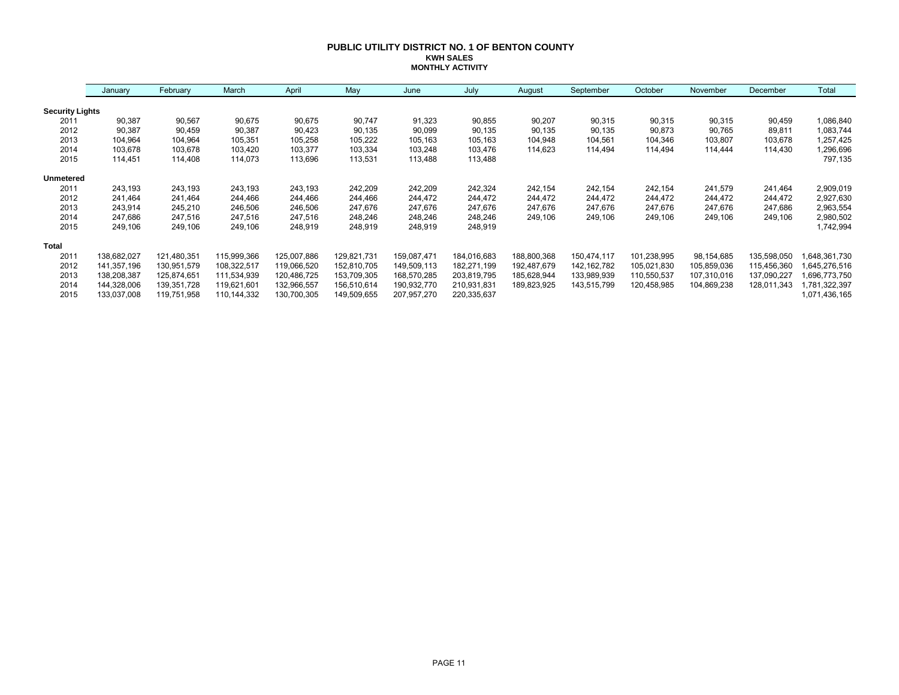#### **PUBLIC UTILITY DISTRICT NO. 1 OF BENTON COUNTY KWH SALES MONTHLY ACTIVITY**

|                        | January     | February    | March         | April       | May         | June        | July        | August      | September     | October     | November    | December    | Total         |
|------------------------|-------------|-------------|---------------|-------------|-------------|-------------|-------------|-------------|---------------|-------------|-------------|-------------|---------------|
| <b>Security Lights</b> |             |             |               |             |             |             |             |             |               |             |             |             |               |
| 2011                   | 90,387      | 90,567      | 90,675        | 90,675      | 90,747      | 91,323      | 90,855      | 90,207      | 90,315        | 90,315      | 90,315      | 90,459      | 1,086,840     |
| 2012                   | 90,387      | 90,459      | 90,387        | 90,423      | 90,135      | 90,099      | 90,135      | 90,135      | 90,135        | 90,873      | 90,765      | 89,811      | 1,083,744     |
| 2013                   | 104,964     | 104,964     | 105,351       | 105,258     | 105,222     | 105,163     | 105,163     | 104,948     | 104,561       | 104,346     | 103,807     | 103,678     | 1,257,425     |
| 2014                   | 103,678     | 103,678     | 103,420       | 103,377     | 103,334     | 103,248     | 103,476     | 114,623     | 114,494       | 114,494     | 114,444     | 114,430     | 1,296,696     |
| 2015                   | 114,451     | 114,408     | 114,073       | 113,696     | 113,531     | 113,488     | 113,488     |             |               |             |             |             | 797,135       |
| Unmetered              |             |             |               |             |             |             |             |             |               |             |             |             |               |
| 2011                   | 243,193     | 243,193     | 243,193       | 243,193     | 242,209     | 242,209     | 242,324     | 242,154     | 242,154       | 242,154     | 241,579     | 241,464     | 2,909,019     |
| 2012                   | 241,464     | 241,464     | 244,466       | 244,466     | 244,466     | 244,472     | 244,472     | 244,472     | 244,472       | 244,472     | 244,472     | 244,472     | 2,927,630     |
| 2013                   | 243,914     | 245,210     | 246,506       | 246,506     | 247,676     | 247,676     | 247,676     | 247,676     | 247,676       | 247,676     | 247,676     | 247,686     | 2,963,554     |
| 2014                   | 247,686     | 247,516     | 247,516       | 247,516     | 248,246     | 248,246     | 248,246     | 249,106     | 249,106       | 249,106     | 249,106     | 249,106     | 2,980,502     |
| 2015                   | 249,106     | 249,106     | 249,106       | 248,919     | 248,919     | 248,919     | 248,919     |             |               |             |             |             | 1,742,994     |
| <b>Total</b>           |             |             |               |             |             |             |             |             |               |             |             |             |               |
| 2011                   | 138,682,027 | 121,480,351 | 115,999,366   | 125,007,886 | 129,821,731 | 159,087,471 | 184,016,683 | 188,800,368 | 150,474,117   | 101,238,995 | 98,154,685  | 135,598,050 | 648,361,730   |
| 2012                   | 141,357,196 | 130,951,579 | 108,322,517   | 119,066,520 | 152,810,705 | 149,509,113 | 182,271,199 | 192,487,679 | 142, 162, 782 | 105,021,830 | 105,859,036 | 115,456,360 | 645,276,516   |
| 2013                   | 138,208,387 | 125,874,651 | 111,534,939   | 120,486,725 | 153,709,305 | 168,570,285 | 203,819,795 | 185,628,944 | 133,989,939   | 110,550,537 | 107,310,016 | 137,090,227 | 696,773,750   |
| 2014                   | 144,328,006 | 139,351,728 | 119,621,601   | 132,966,557 | 156,510,614 | 190,932,770 | 210,931,831 | 189,823,925 | 143,515,799   | 120,458,985 | 104,869,238 | 128,011,343 | ,781,322,397  |
| 2015                   | 133,037,008 | 119,751,958 | 110, 144, 332 | 130,700,305 | 149,509,655 | 207,957,270 | 220,335,637 |             |               |             |             |             | 1,071,436,165 |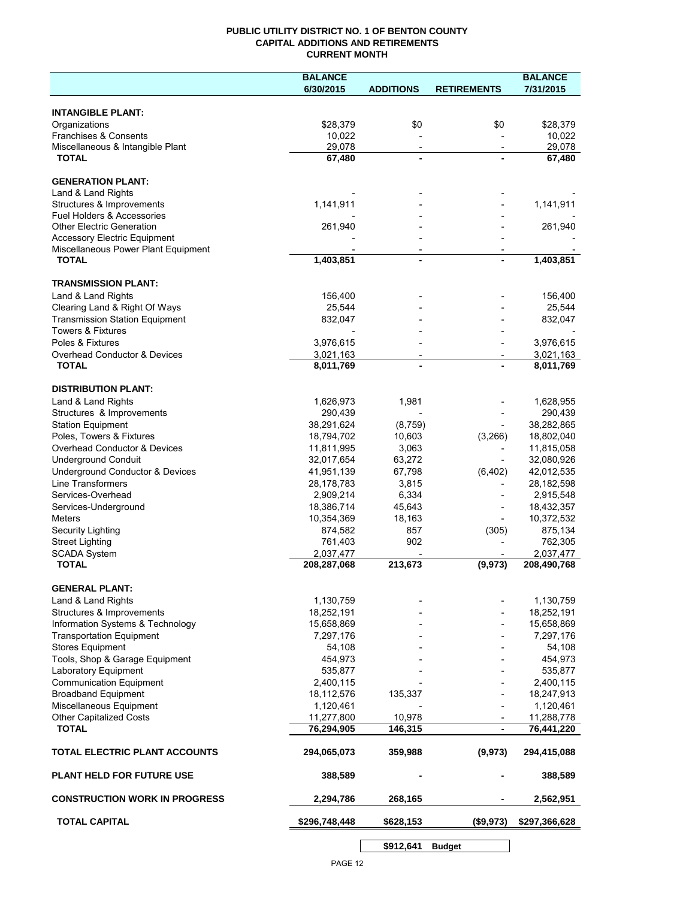# **PUBLIC UTILITY DISTRICT NO. 1 OF BENTON COUNTY CAPITAL ADDITIONS AND RETIREMENTS CURRENT MONTH**

|                                                      | <b>BALANCE</b>        |                          |                          | <b>BALANCE</b>        |
|------------------------------------------------------|-----------------------|--------------------------|--------------------------|-----------------------|
|                                                      | 6/30/2015             | <b>ADDITIONS</b>         | <b>RETIREMENTS</b>       | 7/31/2015             |
| <b>INTANGIBLE PLANT:</b>                             |                       |                          |                          |                       |
| Organizations                                        | \$28,379              | \$0                      | \$0                      | \$28,379              |
| Franchises & Consents                                | 10,022                |                          |                          | 10,022                |
| Miscellaneous & Intangible Plant                     | 29,078                | $\overline{\phantom{a}}$ | $\overline{\phantom{a}}$ | 29,078                |
| <b>TOTAL</b>                                         | 67,480                | $\blacksquare$           |                          | 67,480                |
|                                                      |                       |                          |                          |                       |
| <b>GENERATION PLANT:</b>                             |                       |                          |                          |                       |
| Land & Land Rights<br>Structures & Improvements      | 1,141,911             |                          |                          | 1,141,911             |
| Fuel Holders & Accessories                           |                       |                          |                          |                       |
| <b>Other Electric Generation</b>                     | 261,940               |                          |                          | 261,940               |
| <b>Accessory Electric Equipment</b>                  |                       |                          |                          |                       |
| Miscellaneous Power Plant Equipment                  |                       | $\overline{\phantom{a}}$ |                          |                       |
| <b>TOTAL</b>                                         | 1,403,851             | $\blacksquare$           |                          | 1,403,851             |
| <b>TRANSMISSION PLANT:</b>                           |                       |                          |                          |                       |
| Land & Land Rights                                   | 156,400               |                          |                          | 156,400               |
| Clearing Land & Right Of Ways                        | 25,544                |                          |                          | 25,544                |
| <b>Transmission Station Equipment</b>                | 832,047               |                          |                          | 832,047               |
| <b>Towers &amp; Fixtures</b>                         |                       |                          |                          |                       |
| Poles & Fixtures                                     | 3,976,615             |                          |                          | 3,976,615             |
| <b>Overhead Conductor &amp; Devices</b>              | 3,021,163             |                          |                          | 3,021,163             |
| <b>TOTAL</b>                                         | 8,011,769             |                          |                          | 8,011,769             |
|                                                      |                       |                          |                          |                       |
| <b>DISTRIBUTION PLANT:</b>                           |                       |                          |                          |                       |
| Land & Land Rights                                   | 1,626,973             | 1,981                    |                          | 1,628,955             |
| Structures & Improvements                            | 290,439<br>38,291,624 | (8,759)                  |                          | 290,439<br>38,282,865 |
| <b>Station Equipment</b><br>Poles, Towers & Fixtures | 18,794,702            | 10,603                   | (3,266)                  | 18,802,040            |
| Overhead Conductor & Devices                         | 11,811,995            | 3,063                    |                          | 11,815,058            |
| <b>Underground Conduit</b>                           | 32,017,654            | 63,272                   |                          | 32,080,926            |
| Underground Conductor & Devices                      | 41,951,139            | 67,798                   | (6, 402)                 | 42,012,535            |
| <b>Line Transformers</b>                             | 28,178,783            | 3,815                    |                          | 28,182,598            |
| Services-Overhead                                    | 2,909,214             | 6,334                    |                          | 2,915,548             |
| Services-Underground                                 | 18,386,714            | 45,643                   |                          | 18,432,357            |
| Meters                                               | 10,354,369            | 18,163                   |                          | 10,372,532            |
| Security Lighting                                    | 874,582               | 857                      | (305)                    | 875,134               |
| <b>Street Lighting</b>                               | 761,403               | 902                      |                          | 762,305               |
| <b>SCADA System</b>                                  | 2,037,477             |                          |                          | 2,037,477             |
| <b>TOTAL</b>                                         | 208,287,068           | 213,673                  | (9, 973)                 | 208,490,768           |
| <b>GENERAL PLANT:</b>                                |                       |                          |                          |                       |
| Land & Land Rights                                   | 1,130,759             |                          |                          | 1,130,759             |
| Structures & Improvements                            | 18,252,191            |                          |                          | 18,252,191            |
| Information Systems & Technology                     | 15,658,869            |                          |                          | 15,658,869            |
| <b>Transportation Equipment</b>                      | 7,297,176             |                          |                          | 7,297,176             |
| <b>Stores Equipment</b>                              | 54,108                |                          |                          | 54,108                |
| Tools, Shop & Garage Equipment                       | 454,973               |                          |                          | 454,973               |
| Laboratory Equipment                                 | 535,877               |                          |                          | 535,877               |
| <b>Communication Equipment</b>                       | 2,400,115             |                          |                          | 2,400,115             |
| <b>Broadband Equipment</b>                           | 18,112,576            | 135,337                  |                          | 18,247,913            |
| Miscellaneous Equipment                              | 1,120,461             |                          |                          | 1,120,461             |
| <b>Other Capitalized Costs</b>                       | 11,277,800            | 10,978                   |                          | 11,288,778            |
| <b>TOTAL</b>                                         | 76,294,905            | 146,315                  |                          | 76,441,220            |
| TOTAL ELECTRIC PLANT ACCOUNTS                        | 294,065,073           | 359,988                  | (9, 973)                 | 294,415,088           |
| <b>PLANT HELD FOR FUTURE USE</b>                     | 388,589               |                          |                          | 388,589               |
| <b>CONSTRUCTION WORK IN PROGRESS</b>                 | 2,294,786             | 268,165                  |                          | 2,562,951             |
| <b>TOTAL CAPITAL</b>                                 | \$296,748,448         | \$628,153                | (\$9,973)                | \$297,366,628         |
|                                                      |                       |                          |                          |                       |

PAGE 12

**\$912,641 Budget**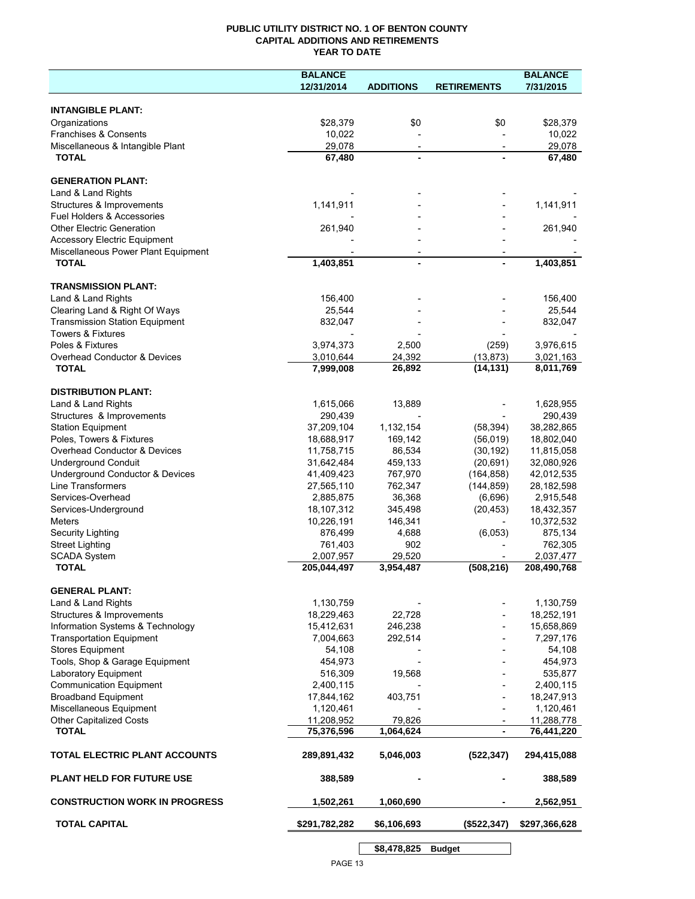# **PUBLIC UTILITY DISTRICT NO. 1 OF BENTON COUNTY CAPITAL ADDITIONS AND RETIREMENTS YEAR TO DATE**

|                                       | <b>BALANCE</b> |                          |                          | <b>BALANCE</b> |
|---------------------------------------|----------------|--------------------------|--------------------------|----------------|
|                                       | 12/31/2014     | <b>ADDITIONS</b>         | <b>RETIREMENTS</b>       | 7/31/2015      |
|                                       |                |                          |                          |                |
| <b>INTANGIBLE PLANT:</b>              |                |                          |                          |                |
| Organizations                         | \$28,379       | \$0                      | \$0                      | \$28,379       |
| Franchises & Consents                 | 10,022         |                          |                          | 10,022         |
| Miscellaneous & Intangible Plant      | 29,078         | $\overline{\phantom{a}}$ | $\overline{\phantom{a}}$ | 29.078         |
| <b>TOTAL</b>                          | 67,480         |                          |                          | 67,480         |
|                                       |                |                          |                          |                |
| <b>GENERATION PLANT:</b>              |                |                          |                          |                |
| Land & Land Rights                    |                |                          |                          |                |
| Structures & Improvements             | 1,141,911      |                          |                          | 1,141,911      |
| Fuel Holders & Accessories            |                |                          |                          |                |
| <b>Other Electric Generation</b>      | 261,940        |                          |                          | 261,940        |
| <b>Accessory Electric Equipment</b>   |                |                          |                          |                |
| Miscellaneous Power Plant Equipment   |                |                          |                          |                |
| <b>TOTAL</b>                          | 1,403,851      |                          |                          | 1,403,851      |
|                                       |                |                          |                          |                |
| <b>TRANSMISSION PLANT:</b>            |                |                          |                          |                |
| Land & Land Rights                    | 156,400        |                          |                          | 156,400        |
| Clearing Land & Right Of Ways         | 25,544         |                          |                          | 25,544         |
| <b>Transmission Station Equipment</b> | 832,047        |                          |                          | 832,047        |
| Towers & Fixtures                     |                |                          |                          |                |
| Poles & Fixtures                      | 3,974,373      | 2,500                    | (259)                    | 3,976,615      |
| Overhead Conductor & Devices          | 3,010,644      | 24,392                   | (13, 873)                | 3,021,163      |
| <b>TOTAL</b>                          | 7,999,008      | 26,892                   | (14, 131)                | 8,011,769      |
|                                       |                |                          |                          |                |
| <b>DISTRIBUTION PLANT:</b>            |                |                          |                          |                |
| Land & Land Rights                    | 1,615,066      | 13,889                   |                          | 1,628,955      |
| Structures & Improvements             | 290,439        |                          |                          | 290,439        |
| <b>Station Equipment</b>              | 37,209,104     | 1,132,154                | (58, 394)                | 38,282,865     |
| Poles, Towers & Fixtures              | 18,688,917     | 169,142                  | (56, 019)                | 18,802,040     |
| Overhead Conductor & Devices          | 11,758,715     | 86,534                   | (30, 192)                | 11,815,058     |
| <b>Underground Conduit</b>            | 31,642,484     | 459,133                  | (20, 691)                | 32,080,926     |
| Underground Conductor & Devices       | 41,409,423     | 767,970                  | (164, 858)               | 42,012,535     |
| Line Transformers                     | 27,565,110     | 762,347                  | (144, 859)               | 28,182,598     |
| Services-Overhead                     | 2,885,875      | 36,368                   | (6,696)                  | 2,915,548      |
| Services-Underground                  | 18,107,312     | 345,498                  | (20, 453)                | 18,432,357     |
| <b>Meters</b>                         | 10,226,191     | 146,341                  |                          | 10,372,532     |
| Security Lighting                     | 876,499        | 4,688                    | (6,053)                  | 875,134        |
| <b>Street Lighting</b>                | 761,403        | 902                      |                          | 762,305        |
| <b>SCADA System</b>                   | 2,007,957      | 29,520                   |                          | 2,037,477      |
| <b>TOTAL</b>                          | 205,044,497    | 3,954,487                | (508, 216)               | 208,490,768    |
|                                       |                |                          |                          |                |
| <b>GENERAL PLANT:</b>                 |                |                          |                          |                |
| Land & Land Rights                    | 1,130,759      |                          |                          | 1,130,759      |
| Structures & Improvements             | 18,229,463     | 22,728                   |                          | 18,252,191     |
| Information Systems & Technology      | 15,412,631     | 246,238                  |                          | 15,658,869     |
| <b>Transportation Equipment</b>       | 7,004,663      | 292,514                  |                          | 7,297,176      |
| <b>Stores Equipment</b>               | 54,108         |                          |                          | 54,108         |
| Tools, Shop & Garage Equipment        | 454,973        |                          |                          | 454,973        |
| Laboratory Equipment                  | 516,309        | 19,568                   |                          | 535,877        |
| <b>Communication Equipment</b>        | 2,400,115      |                          |                          | 2,400,115      |
| <b>Broadband Equipment</b>            | 17,844,162     | 403,751                  |                          | 18,247,913     |
| Miscellaneous Equipment               | 1,120,461      |                          |                          | 1,120,461      |
| <b>Other Capitalized Costs</b>        | 11,208,952     | 79,826                   |                          | 11,288,778     |
| <b>TOTAL</b>                          | 75,376,596     | 1,064,624                | $\overline{\phantom{0}}$ | 76,441,220     |
|                                       |                |                          |                          |                |
| TOTAL ELECTRIC PLANT ACCOUNTS         | 289,891,432    | 5,046,003                | (522, 347)               | 294,415,088    |
|                                       |                |                          |                          |                |
| <b>PLANT HELD FOR FUTURE USE</b>      | 388,589        |                          |                          | 388,589        |
|                                       |                |                          |                          |                |
| <b>CONSTRUCTION WORK IN PROGRESS</b>  | 1,502,261      | 1,060,690                |                          | 2,562,951      |
| <b>TOTAL CAPITAL</b>                  | \$291,782,282  | \$6,106,693              | (\$522,347)              | \$297,366,628  |
|                                       |                |                          |                          |                |
|                                       |                |                          |                          |                |

**\$8,478,825 Budget**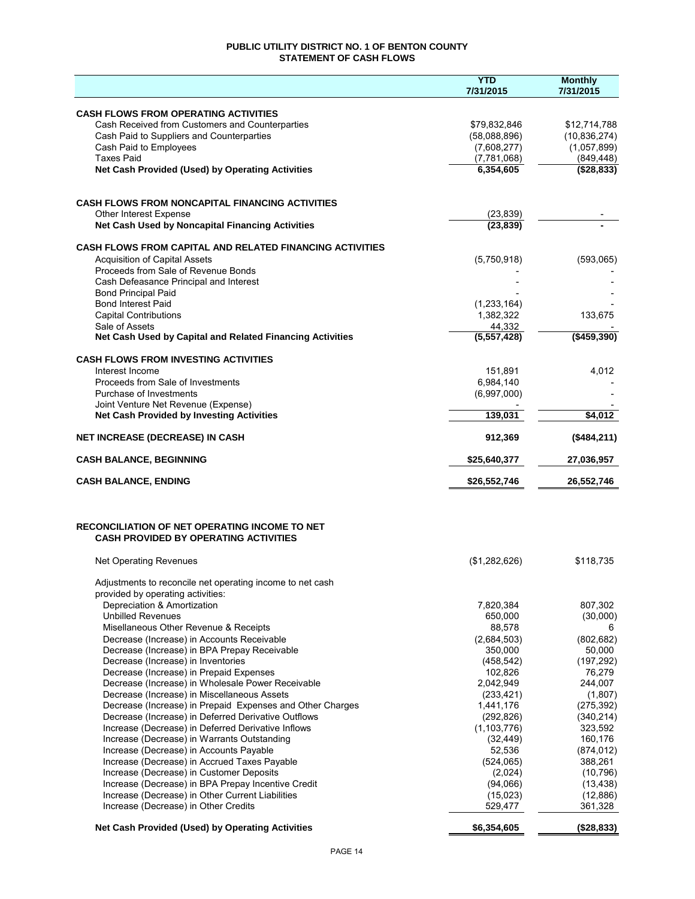# **PUBLIC UTILITY DISTRICT NO. 1 OF BENTON COUNTY STATEMENT OF CASH FLOWS**

|                                                                                               | <b>YTD</b><br>7/31/2015  | <b>Monthly</b><br>7/31/2015 |
|-----------------------------------------------------------------------------------------------|--------------------------|-----------------------------|
| <b>CASH FLOWS FROM OPERATING ACTIVITIES</b>                                                   |                          |                             |
| Cash Received from Customers and Counterparties                                               | \$79,832,846             | \$12,714,788                |
| Cash Paid to Suppliers and Counterparties                                                     | (58,088,896)             | (10, 836, 274)              |
| Cash Paid to Employees                                                                        | (7,608,277)              | (1,057,899)                 |
| <b>Taxes Paid</b>                                                                             | (7,781,068)              | (849, 448)                  |
| Net Cash Provided (Used) by Operating Activities                                              | 6,354,605                | (\$28,833)                  |
| <b>CASH FLOWS FROM NONCAPITAL FINANCING ACTIVITIES</b>                                        |                          |                             |
| Other Interest Expense<br>Net Cash Used by Noncapital Financing Activities                    | (23, 839)<br>(23, 839)   |                             |
| <b>CASH FLOWS FROM CAPITAL AND RELATED FINANCING ACTIVITIES</b>                               |                          |                             |
| <b>Acquisition of Capital Assets</b>                                                          | (5,750,918)              | (593,065)                   |
| Proceeds from Sale of Revenue Bonds                                                           |                          |                             |
| Cash Defeasance Principal and Interest                                                        |                          |                             |
| <b>Bond Principal Paid</b><br><b>Bond Interest Paid</b>                                       | (1,233,164)              |                             |
| <b>Capital Contributions</b>                                                                  | 1,382,322                | 133,675                     |
| Sale of Assets                                                                                | 44,332                   |                             |
| Net Cash Used by Capital and Related Financing Activities                                     | (5,557,428)              | ( \$459, 390)               |
| <b>CASH FLOWS FROM INVESTING ACTIVITIES</b>                                                   |                          |                             |
| Interest Income                                                                               | 151.891                  | 4.012                       |
| Proceeds from Sale of Investments<br>Purchase of Investments                                  | 6,984,140<br>(6,997,000) |                             |
| Joint Venture Net Revenue (Expense)                                                           |                          |                             |
| <b>Net Cash Provided by Investing Activities</b>                                              | 139,031                  | \$4,012                     |
| NET INCREASE (DECREASE) IN CASH                                                               | 912,369                  | (\$484,211)                 |
| <b>CASH BALANCE, BEGINNING</b>                                                                | \$25,640,377             | 27,036,957                  |
| <b>CASH BALANCE, ENDING</b>                                                                   | \$26,552,746             | 26,552,746                  |
| RECONCILIATION OF NET OPERATING INCOME TO NET<br><b>CASH PROVIDED BY OPERATING ACTIVITIES</b> |                          |                             |
| <b>Net Operating Revenues</b>                                                                 | (\$1,282,626)            | \$118,735                   |
| Adjustments to reconcile net operating income to net cash                                     |                          |                             |
| provided by operating activities:<br>Depreciation & Amortization                              |                          | 807,302                     |
| <b>Unbilled Revenues</b>                                                                      | 7,820,384<br>650,000     | (30,000)                    |
| Misellaneous Other Revenue & Receipts                                                         | 88,578                   | 6                           |
| Decrease (Increase) in Accounts Receivable                                                    | (2,684,503)              | (802, 682)                  |
| Decrease (Increase) in BPA Prepay Receivable                                                  | 350,000                  | 50.000                      |
| Decrease (Increase) in Inventories                                                            | (458, 542)<br>102.826    | (197, 292)                  |
| Decrease (Increase) in Prepaid Expenses<br>Decrease (Increase) in Wholesale Power Receivable  | 2,042,949                | 76,279<br>244,007           |
| Decrease (Increase) in Miscellaneous Assets                                                   | (233, 421)               | (1,807)                     |
| Decrease (Increase) in Prepaid Expenses and Other Charges                                     | 1,441,176                | (275, 392)                  |
| Decrease (Increase) in Deferred Derivative Outflows                                           | (292, 826)               | (340, 214)                  |
| Increase (Decrease) in Deferred Derivative Inflows                                            | (1, 103, 776)            | 323,592                     |
| Increase (Decrease) in Warrants Outstanding                                                   | (32, 449)<br>52,536      | 160,176                     |
| Increase (Decrease) in Accounts Payable<br>Increase (Decrease) in Accrued Taxes Payable       | (524, 065)               | (874, 012)<br>388,261       |
| Increase (Decrease) in Customer Deposits                                                      | (2,024)                  | (10, 796)                   |
| Increase (Decrease) in BPA Prepay Incentive Credit                                            | (94,066)                 | (13, 438)                   |
| Increase (Decrease) in Other Current Liabilities                                              | (15,023)                 | (12, 886)                   |
| Increase (Decrease) in Other Credits                                                          | 529,477                  | 361,328                     |
| Net Cash Provided (Used) by Operating Activities                                              | \$6,354,605              | (\$28,833)                  |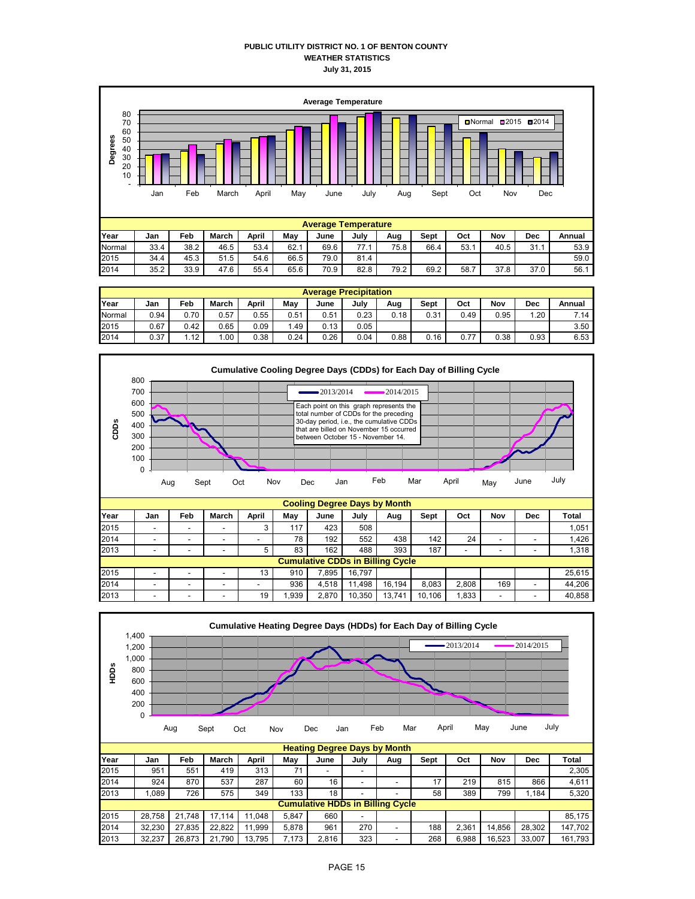#### **PUBLIC UTILITY DISTRICT NO. 1 OF BENTON COUNTY WEATHER STATISTICS July 31, 2015**



|        | <b>Average Precipitation</b> |      |              |       |      |      |      |      |      |      |      |      |        |  |
|--------|------------------------------|------|--------------|-------|------|------|------|------|------|------|------|------|--------|--|
| Year   | Jan                          | Feb  | <b>March</b> | April | Mav  | June | July | Aug  | Sept | Oct  | Nov  | Dec  | Annual |  |
| Normal | 0.94                         | 0.70 | 0.57         | 0.55  | 0.51 | 0.51 | 0.23 | 0.18 | 0.31 | 0.49 | 0.95 | .20  | 7.14   |  |
| 2015   | 0.67                         | 0.42 | 0.65         | 0.09  | .49  | 0.13 | 0.05 |      |      |      |      |      | 3.50   |  |
| 2014   | 0.37                         | 1.12 | .00،         | 0.38  | 0.24 | 0.26 | 0.04 | 0.88 | 0.16 | 0.77 | 0.38 | 0.93 | 6.53   |  |



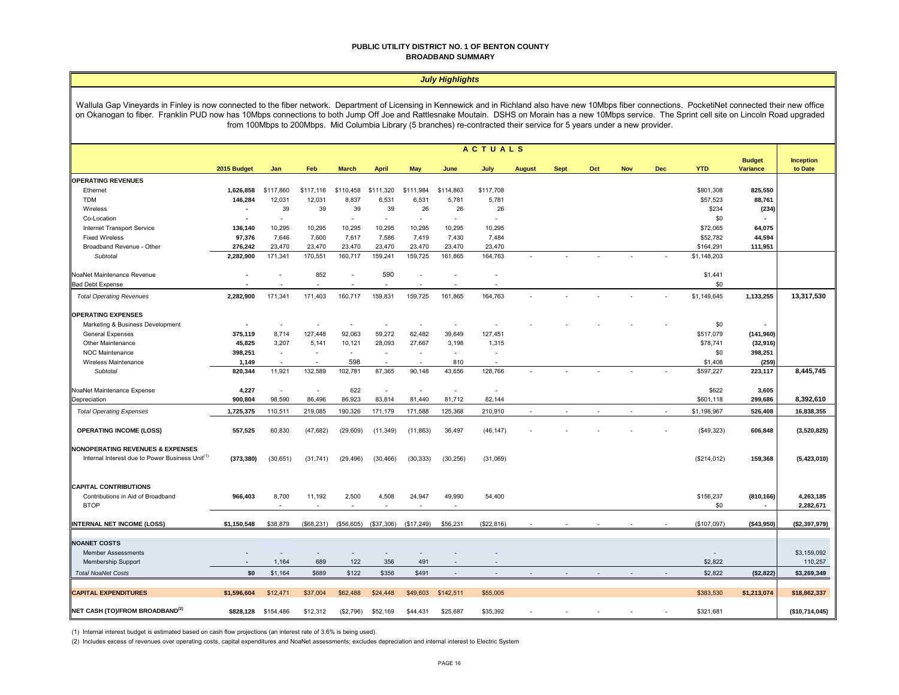#### **PUBLIC UTILITY DISTRICT NO. 1 OF BENTON COUNTY BROADBAND SUMMARY**

#### *July Highlights*

Wallula Gap Vineyards in Finley is now connected to the fiber network. Department of Licensing in Kennewick and in Richland also have new 10Mbps fiber connections. PocketiNet connected their new office on Okanogan to fiber. Franklin PUD now has 10Mbps connections to both Jump Off Joe and Rattlesnake Moutain. DSHS on Morain has a new 10Mbps service. The Sprint cell site on Lincoln Road upgraded from 100Mbps to 200Mbps. Mid Columbia Library (5 branches) re-contracted their service for 5 years under a new provider.

|                                                             |                |                          |                          |              |              |                          |                          | <b>ACTUALS</b>           |               |             |     |     |            |             |                                  |                      |
|-------------------------------------------------------------|----------------|--------------------------|--------------------------|--------------|--------------|--------------------------|--------------------------|--------------------------|---------------|-------------|-----|-----|------------|-------------|----------------------------------|----------------------|
|                                                             | 2015 Budget    | Jan                      | Feb                      | <b>March</b> | <b>April</b> | May                      | June                     | July                     | <b>August</b> | <b>Sept</b> | Oct | Nov | <b>Dec</b> | <b>YTD</b>  | <b>Budget</b><br><b>Variance</b> | Inception<br>to Date |
| <b>OPERATING REVENUES</b>                                   |                |                          |                          |              |              |                          |                          |                          |               |             |     |     |            |             |                                  |                      |
| Ethernet                                                    | 1,626,858      | \$117,860                | \$117,116                | \$110,458    | \$111,320    | \$111,984                | \$114,863                | \$117,708                |               |             |     |     |            | \$801,308   | 825,550                          |                      |
| <b>TDM</b>                                                  | 146,284        | 12,031                   | 12,031                   | 8,837        | 6,531        | 6,531                    | 5,781                    | 5,781                    |               |             |     |     |            | \$57,523    | 88,761                           |                      |
| Wireless                                                    | $\blacksquare$ | 39                       | 39                       | 39           | 39           | 26                       | 26                       | 26                       |               |             |     |     |            | \$234       | (234)                            |                      |
| Co-Location                                                 | $\blacksquare$ | $\sim$                   |                          | $\sim$       | $\sim$       | $\overline{\phantom{a}}$ | $\sim$                   | $\sim$                   |               |             |     |     |            | \$0         |                                  |                      |
| Internet Transport Service                                  | 136,140        | 10,295                   | 10,295                   | 10,295       | 10,295       | 10,295                   | 10,295                   | 10,295                   |               |             |     |     |            | \$72,065    | 64,075                           |                      |
| <b>Fixed Wireless</b>                                       | 97,376         | 7,646                    | 7,600                    | 7,617        | 7,586        | 7,419                    | 7,430                    | 7,484                    |               |             |     |     |            | \$52,782    | 44,594                           |                      |
| Broadband Revenue - Other                                   | 276,242        | 23,470                   | 23,470                   | 23,470       | 23,470       | 23,470                   | 23,470                   | 23,470                   |               |             |     |     |            | \$164,291   | 111,951                          |                      |
| Subtotal                                                    | 2,282,900      | 171,341                  | 170,551                  | 160,717      | 159,241      | 159,725                  | 161,865                  | 164,763                  |               |             |     |     |            | \$1,148,203 |                                  |                      |
| NoaNet Maintenance Revenue                                  | ä,             | ٠                        | 852                      |              | 590          | $\sim$                   |                          |                          |               |             |     |     |            | \$1,441     |                                  |                      |
| <b>Bad Debt Expense</b>                                     |                |                          | $\sim$                   |              | $\sim$       | $\overline{a}$           |                          | $\overline{\phantom{a}}$ |               |             |     |     |            | \$0         |                                  |                      |
| <b>Total Operating Revenues</b>                             | 2,282,900      | 171,341                  | 171,403                  | 160,717      | 159,831      | 159,725                  | 161,865                  | 164,763                  |               |             |     |     |            | \$1,149,645 | 1,133,255                        | 13,317,530           |
| <b>OPERATING EXPENSES</b>                                   |                |                          |                          |              |              |                          |                          |                          |               |             |     |     |            |             |                                  |                      |
| Marketing & Business Development                            | $\blacksquare$ |                          |                          |              |              | $\overline{a}$           |                          |                          |               |             |     |     |            | \$0         |                                  |                      |
| General Expenses                                            | 375,119        | 8,714                    | 127,448                  | 92,063       | 59,272       | 62,482                   | 39,649                   | 127,451                  |               |             |     |     |            | \$517,079   | (141, 960)                       |                      |
| Other Maintenance                                           | 45,825         | 3,207                    | 5,141                    | 10,121       | 28,093       | 27,667                   | 3,198                    | 1,315                    |               |             |     |     |            | \$78,741    | (32, 916)                        |                      |
| <b>NOC Maintenance</b>                                      | 398,251        | $\sim$                   | $\sim$                   | $\sim$       | $\sim$       | $\sim$                   | $\overline{\phantom{a}}$ | $\overline{\phantom{a}}$ |               |             |     |     |            | \$0         | 398,251                          |                      |
| Wireless Maintenance                                        | 1,149          |                          | $\overline{\phantom{a}}$ | 598          |              | $\overline{\phantom{a}}$ | 810                      |                          |               |             |     |     |            | \$1,408     | (259)                            |                      |
| Subtotal                                                    | 820,344        | 11,921                   | 132,589                  | 102,781      | 87,365       | 90,148                   | 43,656                   | 128,766                  |               |             |     |     |            | \$597,227   | 223,117                          | 8,445,745            |
| NoaNet Maintenance Expense                                  | 4,227          | $\sim$                   | $\sim$                   | 622          | $\sim$       | ÷                        | $\sim$                   | $\overline{\phantom{a}}$ |               |             |     |     |            | \$622       | 3,605                            |                      |
| Depreciation                                                | 900,804        | 98,590                   | 86,496                   | 86,923       | 83,814       | 81,440                   | 81,712                   | 82,144                   |               |             |     |     |            | \$601,118   | 299,686                          | 8,392,610            |
|                                                             |                |                          |                          |              |              |                          |                          |                          |               |             |     |     |            |             |                                  |                      |
| <b>Total Operating Expenses</b>                             | 1,725,375      | 110,511                  | 219,085                  | 190,326      | 171,179      | 171,588                  | 125,368                  | 210,910                  |               |             |     |     | $\sim$     | \$1,198,967 | 526,408                          | 16,838,355           |
| <b>OPERATING INCOME (LOSS)</b>                              | 557,525        | 60,830                   | (47, 682)                | (29, 609)    | (11, 349)    | (11, 863)                | 36,497                   | (46, 147)                |               |             |     |     |            | (\$49,323)  | 606,848                          | (3,520,825)          |
| <b>NONOPERATING REVENUES &amp; EXPENSES</b>                 |                |                          |                          |              |              |                          |                          |                          |               |             |     |     |            |             |                                  |                      |
| Internal Interest due to Power Business Unit <sup>(1)</sup> | (373, 380)     | (30, 651)                | (31, 741)                | (29, 496)    | (30, 466)    | (30, 333)                | (30, 256)                | (31,069)                 |               |             |     |     |            | (\$214,012) | 159,368                          | (5,423,010)          |
| <b>CAPITAL CONTRIBUTIONS</b>                                |                |                          |                          |              |              |                          |                          |                          |               |             |     |     |            |             |                                  |                      |
| Contributions in Aid of Broadband                           | 966,403        | 8,700                    | 11,192                   | 2,500        | 4,508        | 24,947                   | 49,990                   | 54,400                   |               |             |     |     |            | \$156,237   | (810, 166)                       | 4,263,185            |
| <b>BTOP</b>                                                 |                | $\overline{\phantom{a}}$ | $\overline{\phantom{a}}$ | $\sim$       |              | $\overline{\phantom{a}}$ | $\sim$                   |                          |               |             |     |     |            | \$0         |                                  | 2,282,671            |
|                                                             |                |                          |                          |              |              |                          |                          |                          |               |             |     |     |            |             |                                  |                      |
| <b>INTERNAL NET INCOME (LOSS)</b>                           | \$1,150,548    | \$38,879                 | ( \$68, 231)             | (\$56,605)   | (\$37,306)   | (\$17,249)               | \$56,231                 | (\$22,816)               |               |             |     |     |            | (\$107,097) | ( \$43,950]                      | (\$2,397,979)        |
| <b>NOANET COSTS</b>                                         |                |                          |                          |              |              |                          |                          |                          |               |             |     |     |            |             |                                  |                      |
| <b>Member Assessments</b>                                   |                |                          | $\sim$                   |              | $\sim$       | $\sim$                   |                          |                          |               |             |     |     |            |             |                                  | \$3,159,092          |
| Membership Support                                          |                | 1,164                    | 689                      | 122          | 356          | 491                      |                          |                          |               |             |     |     |            | \$2,822     |                                  | 110,257              |
|                                                             | \$0            |                          |                          | \$122        | \$356        |                          | $\overline{\phantom{a}}$ |                          |               |             |     |     |            | \$2,822     |                                  |                      |
| <b>Total NoaNet Costs</b>                                   |                | \$1,164                  | \$689                    |              |              | \$491                    |                          |                          |               |             |     |     |            |             | (\$2,822)                        | \$3,269,349          |
| <b>CAPITAL EXPENDITURES</b>                                 | \$1,596,604    | \$12,471                 | \$37,004                 | \$62,488     | \$24,448     | \$49,603                 | \$142,511                | \$55,005                 |               |             |     |     |            | \$383,530   | \$1,213,074                      | \$18,862,337         |
| NET CASH (TO)/FROM BROADBAND <sup>(2)</sup>                 | \$828,128      | \$154,486                | \$12,312                 | (\$2,796)    | \$52,169     | \$44,431                 | \$25,687                 | \$35,392                 |               |             |     |     |            | \$321,681   |                                  | (\$10,714,045)       |

(1) Internal interest budget is estimated based on cash flow projections (an interest rate of 3.6% is being used).

(2) Includes excess of revenues over operating costs, capital expenditures and NoaNet assessments; excludes depreciation and internal interest to Electric System